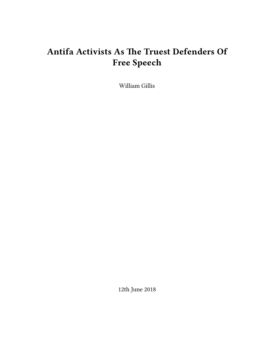# **Antifa Activists As The Truest Defenders Of Free Speech**

William Gillis

12th June 2018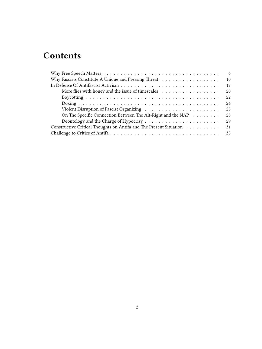# **Contents**

| 6                                                                                                        |
|----------------------------------------------------------------------------------------------------------|
| 10                                                                                                       |
| 17                                                                                                       |
| More flies with honey and the issue of timescales $\dots \dots \dots \dots \dots \dots$<br>20            |
| 22                                                                                                       |
| 24                                                                                                       |
| 25<br>Violent Disruption of Fascist Organizing $\ldots \ldots \ldots \ldots \ldots \ldots \ldots \ldots$ |
| On The Specific Connection Between The Alt-Right and the NAP<br>28                                       |
| 29                                                                                                       |
| Constructive Critical Thoughts on Antifa and The Present Situation<br>31                                 |
|                                                                                                          |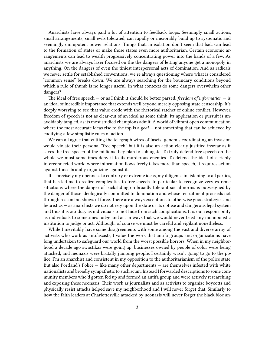Anarchists have always paid a lot of attention to feedback loops. Seemingly small actions, small arrangements, small evils tolerated, can rapidly or inexorably build up to systematic and seemingly omnipotent power relations. Things that, in isolation don't seem that bad, can lead to the formation of states or make those states even more authoritarian. Certain economic arrangements can lead to wealth progressively concentrating power into the hands of a few. As anarchists we are always laser focused on the the dangers of letting anyone get a monopoly in anything. On the dangers of even the tiniest interpersonal acts of domination. And as radicals we never settle for established conventions, we're always questioning where what is considered "common sense" breaks down. We are always searching for the boundary conditions beyond which a rule of thumb is no longer useful. In what contexts do some dangers overwhelm other dangers?

The ideal of free speech — or as I think it should be better parsed, *freedom of information* — is an ideal of incredible importance that extends well beyond merely opposing state censorship. It's deeply worrying to see that value erode with the rhetorical ratchet of online conflict. However, freedom of speech is not as clear-cut of an ideal as some think; its application or pursuit is unavoidably tangled, as its most studied champions admit. A world of vibrant open communication where the most accurate ideas rise to the top is a *goal* — not something that can be achieved by codifying a few simplistic rules of action.

We can all agree that cutting the telegraph wires of fascist generals coordinating an invasion would violate their personal "free speech" but it is also an action clearly justified insofar as it saves the free speech of the millions they plan to subjugate. To truly defend free speech on the whole we must sometimes deny it to its murderous enemies. To defend the ideal of a richly interconnected world where information flows freely takes more than speech, it requires action against those brutally organizing against it.

It is precisely my openness to contrary or extreme ideas, my diligence in listening to all parties, that has led me to realize complexities to free speech. In particular to recognize very extreme situations where the danger of backsliding on broadly tolerant social norms is outweighed by the danger of those ideologically committed to domination and whose recruitment proceeds not through reason but shows of force. There are always exceptions to otherwise good strategies and heuristics — as anarchists we do not rely upon the state or its obtuse and dangerous legal system and thus it is our duty as individuals to not hide from such complications. It is our responsibility as individuals to sometimes judge and act in ways that we would never trust any monopolistic institution to judge or act. Although, of course we must be careful and vigilant nonetheless.

While I inevitably have some disagreements with some among the vast and diverse array of activists who work as antifascists, I value the work that antifa groups and organizations have long undertaken to safeguard our world from the worst possible horrors. When in my neighborhood a decade ago swastikas were going up, businesses owned by people of color were being attacked, and neonazis were brutally jumping people, I certainly wasn't going to go to the police. I'm an anarchist and consistent in my opposition to the authoritarianism of the police state. But also Portland's Police — like many other departments — are themselves infested with white nationalists and broadly sympathetic to such scum. Instead I forwarded descriptions to some community members who'd gotten fed up and formed an antifa group and were actively researching and exposing these neonazis. Their work as journalists and as activists to organize boycotts and physically resist attacks helped save my neighborhood and I will never forget that. Similarly to how the faith leaders at Charlottesville attacked by neonazis will never forget the black bloc an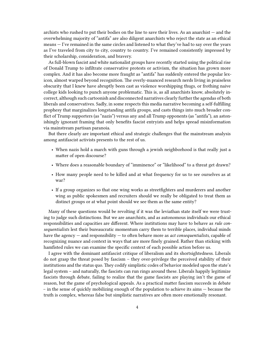archists who rushed to put their bodies on the line to save their lives. As an anarchist — and the overwhelming majority of "antifa" are also diligent anarchists who reject the state as an ethical means — I've remained in the same circles and listened to what they've had to say over the years as I've traveled from city to city, country to country. I've remained consistently impressed by their scholarship, consideration, and bravery.

As full-blown fascist and white nationalist groups have recently started using the political rise of Donald Trump to infiltrate conservative protests or activism, the situation has grown more complex. And it has also become more fraught as "antifa" has suddenly entered the popular lexicon, almost warped beyond recognition. The overly-nuanced research nerds living in praiseless obscurity that I knew have abruptly been cast as violence worshipping thugs, or frothing naive college kids looking to punch anyone problematic. This is, as all anarchists know, absolutely incorrect, although such cartoonish and disconnected narratives clearly further the agendas of both liberals and conservatives. Sadly, in some respects this media narrative becoming a self-fulfilling prophesy that marginalizes longstanding antifa groups, and casts things into much broader conflict of Trump supporters (as "nazis") versus any and all Trump opponents (as "antifa"), an astonishingly ignorant framing that only benefits fascist entryists and helps spread misinformation via mainstream partisan paranoia.

But there clearly are important ethical and strategic challenges that the mainstream analysis among antifascist activists presents to the rest of us.

- When nazis hold a march with guns through a jewish neighborhood is that really just a matter of open discourse?
- Where does a reasonable boundary of "imminence" or "likelihood" to a threat get drawn?
- How many people need to be killed and at what frequency for us to see ourselves as at war?
- If a group organizes so that one wing works as streetfighters and murderers and another wing as public spokesmen and recruiters should we really be obligated to treat them as distinct groups or at what point should we see them as the same entity?

Many of these questions would be revolting if it was the leviathan state itself we were trusting to judge such distinctions. But we are anarchists, and as autonomous individuals our ethical responsibilities and capacities are different. Where institutions may have to behave as *rule consequentialists* lest their bureaucratic momentum carry them to terrible places, individual minds have the agency — and responsibility — to often behave more as *act consequentialists*, capable of recognizing nuance and context in ways that are more finely grained. Rather than sticking with hamfisted rules we can examine the specific context of each possible action before us.

I agree with the dominant antifascist critique of liberalism and its shortsightedness. Liberals do not grasp the threat posed by fascism – they over-privilege the perceived stability of their institutions and the status quo. They codify simplistic codes of behavior modeled upon the state's legal system – and naturally, the fascists can run rings around these. Liberals happily legitimize fascists through debate, failing to realize that the game fascists are playing isn't the game of reason, but the game of psychological appeals. As a practical matter fascism succeeds in debate – in the sense of quickly mobilizing enough of the population to achieve its aims — because the truth is complex, whereas false but simplistic narratives are often more emotionally resonant.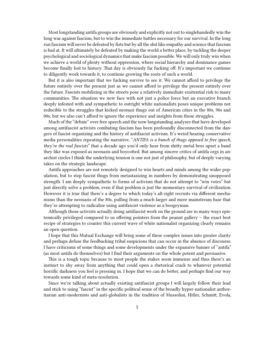Most longstanding antifa groups are obviously and explicitly not out to singlehandedly win the long war against fascism, but to win the immediate battles necessary for our survival. In the long run fascism will never be defeated by fists but by all the shit like empathy and science that fascism is bad at. It will ultimately be defeated by making the world a better place, by tackling the deeper psychological and sociological dynamics that make fascism possible. We will only truly win when we achieve a world of plenty without oppression, where social hierarchy and dominance games become finally lost to history. That day is obviously far fucking off. It's important we continue to diligently work towards it, to continue growing the roots of such a world.

But it is also important that we fucking survive to see it. We cannot afford to privilege the future entirely over the present just as we cannot afford to privilege the present entirely over the future. Fascists mobilizing in the streets pose a relatively immediate existential risk to many communities. The situation we now face with not just a police force but an executive branch deeply infested with and sympathetic to outright white nationalists poses unique problems not reducible to the struggles that kicked neonazi thugs out of American cities in the 80s, 90s and 00s, but we also can't afford to ignore the experience and insights from those struggles.

Much of the "debate" over free speech and the now longstanding analyses that have developed among antifascist activists combating fascism has been profoundly disconnected from the dangers of fascist organizing and the history of antifascist activism. It's weird hearing conservative media personalities repeating the narrative, "*ANTIFA is a bunch of thugs opposed to free speech, they're the real fascists*" that a decade ago you'd only hear from shitty metal bros upset a band they like was exposed as neonazis and boycotted. But among sincere critics of antifa orgs in anarchist circles I think the underlying tension is one not just of philosophy, but of deeply varying takes on the strategic landscape.

Antifa approaches are not remotely designed to win hearts and minds among the wider population, but to stop fascist thugs from metastasizing in numbers by demonstrating unopposed strength. I am deeply sympathetic to forms of activism that do not attempt to "win votes" but just directly solve a problem, even if that problem is just the momentary survival of civilization. However it is true that there's a degree to which today's alt-right recruits via different mechanisms than the neonazis of the 80s, pulling from a much larger and more mainstream base that they're attempting to radicalize using antifascist violence as a boogeyman.

Although those activists actually doing antifascist work on the ground are in many ways epistemically privileged compared to us offering pointers from the peanut gallery – the exact best recipe of strategies to counter this current wave of white nationalist organizing clearly remains an open question.

I hope that this Mutual Exchange will bring some of these complex issues into greater clarity and perhaps defuse the feedbacking tribal suspicions that can occur in the absence of discourse. I have criticisms of some things and some developments under the expansive banner of "antifa" (as most antifa do themselves) but I find their arguments on the whole potent and persuasive.

This is a tough topic because to most people the stakes seem immense and thus there's an instinct to shy away from anything that could open a rhetorical crack to whatever potential horrific darkness you feel is pressing in. I hope that we can do better, and perhaps find our way towards some kind of meta-resolution.

Since we're talking about actually existing antifascist groups I will largely follow their lead and stick to using "fascist" in the specific political sense of the broadly hyper-nationalist authoritarian anti-modernists and anti-globalists in the tradition of Mussolini, Hitler, Schmitt, Evola,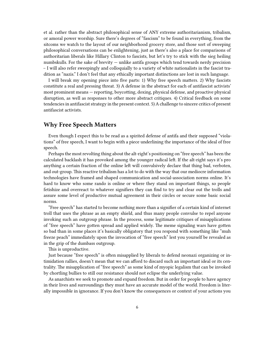et al. rather than the abstract philosophical sense of ANY extreme authoritarianism, tribalism, or amoral power worship. Sure there's degrees of "fascism" to be found in everything, from the sitcoms we watch to the layout of our neighborhood grocery store, and those sort of sweeping philosophical conversations can be enlightening, just as there's also a place for comparisons of authoritarian liberals like Hillary Clinton to fascists, but let's try to stick with the sieg heiling numbskulls. For the sake of brevity — unlike antifa groups which tend towards nerdy precision – I will also refer sweepingly and colloquially to a variety of white nationalists in the fascist tradition as "nazis." I don't feel that any ethically important distinctions are lost in such language.

I will break my opening piece into five parts: 1) Why free speech matters. 2) Why fascists constitute a real and pressing threat. 3) A defense in the abstract for each of antifascist activists' most prominent means — reporting, boycotting, doxing, physical defense, and proactive physical disruption, as well as responses to other more abstract critiques. 4) Critical feedback on some tendencies in antifascist strategy in the present context. 5) A challenge to sincere critics of present antifascist activists.

# <span id="page-5-0"></span>**Why Free Speech Matters**

Even though I expect this to be read as a spirited defense of antifa and their supposed "violations" of free speech, I want to begin with a piece underlining the importance of the ideal of free speech.

Perhaps the most revolting thing about the alt-right's positioning on "free speech" has been the calculated backlash it has provoked among the younger radical left. If the alt-right says it's pro anything a certain fraction of the online left will convulsively declare that thing bad, verboten, and out-group. This reactive tribalism has a lot to do with the way that our mediocre information technologies have framed and shaped communication and social-association norms online. It's hard to know who some rando is online or where they stand on important things, so people fetishize and overreact to whatever signifiers they can find to try and clear out the trolls and assure some level of productive mutual agreement in their circles or secure some basic social norms.

"Free speech" has started to become nothing more than a signifier of a certain kind of internet troll that uses the phrase as an empty shield, and thus many people convulse to repel anyone invoking such an outgroup phrase. In the process, some legitimate critiques of misapplications of "free speech" have gotten spread and applied widely. The meme signaling wars have gotten so bad than in some places it's basically obligatory that you respond with something like "muh freeze peach" immediately upon the invocation of "free speech" lest you yourself be revealed as in the grip of the dumbass outgroup.

This is unproductive.

Just because "free speech" is often misapplied by liberals to defend neonazi organizing or intimidation rallies, doesn't mean that we can afford to discard such an important ideal or its centrality. The misapplication of "free speech" as some kind of myopic legalism that can be invoked by chortling bullies to still our resistance should not eclipse the underlying value.

As anarchists we seek to promote and expand freedom. But in order for people to have agency in their lives and surroundings they must have an accurate model of the world. Freedom is literally impossible in ignorance. If you don't know the consequences or context of your actions you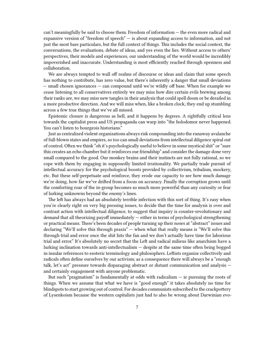can't meaningfully be said to choose them. Freedom of information — the even more radical and expansive version of "freedom of speech" — is about expanding access to information, and not just the most bare particulars, but the full context of things. This includes the social context, the conversations, the evaluations, debate of ideas, and yes even the lies. Without access to others' perspectives, their models and experiences, our understanding of the world would be incredibly impoverished and inaccurate. Understanding is most efficiently reached through openness and collaboration.

We are always tempted to wall off realms of discourse or ideas and claim that some speech has nothing to contribute, has zero value, but there's inherently a danger that small deviations — small chosen ignorances — can compound until we're wildly off base. When for example we cease listening to all conservatives entirely we may miss how dire certain evils brewing among their ranks are, we may miss new tangles in their analysis that could spell doom or be derailed in a more productive direction. And we will miss when, like a broken clock, they end up stumbling across a few true things that we've all missed.

Epistemic closure is dangerous as hell, and it happens by degrees. A rightfully critical lens towards the capitalist press and US propaganda can warp into "the holodomor never happened. You can't listen to bourgeois historians."

Just as centralized violent organizations always risk compounding into the runaway avalanche of full-blown states and empires, so too can small deviations from intellectual diligence spiral out of control. Often we think "oh it's psychologically useful to believe in some mystical shit" or "sure this creates an echo chamber but it reinforces our friendship" and consider the damage done very small compared to the good. Our monkey brains and their instincts are not fully rational, so we cope with them by engaging in supposedly limited irrationality. We partially trade pursuit of intellectual accuracy for the psychological boosts provided by collectivism, tribalism, mockery, etc. But these self-perpetuate and reinforce, they erode our capacity to see how much damage we're doing, how far we've drifted from a focus on accuracy. Finally the corruption grows until the comforting roar of the in-group becomes so much more powerful than any curiosity or fear of lurking unknowns beyond the enemy's lines.

The left has always had an absolutely terrible infection with this sort of thing. It's easy when you're clearly right on very big pressing issues, to decide that the time for analysis is over and contrast action with intellectual diligence, to suggest that inquiry is counter-revolutionary and demand that all theorizing payoff immediately — either in terms of psychological strengthening or practical means. There's been decades of people turning up their noses at "abstract" issues and declaring "We'll solve this through praxis" — when what that really means is "We'll solve this through trial and error once the shit hits the fan and we don't actually have time for laborious trial and error." It's absolutely no secret that the Left and radical milieus like anarchism have a lurking inclination towards anti-intellectualism — despite at the same time often being bogged in insular references to esoteric terminology and philosophers. Leftists organize collectively and radicals often define ourselves by our activism; as a consequence there will always be a "enough talk, let's act" pressure towards disparaging abstract or distant communication and analysis and certainly engagement with anyone problematic.

But such "pragmatism" is fundamentally at odds with radicalism  $-$  ie pursuing the roots of things. When we assume that what we have is "good enough" it takes absolutely no time for blindspots to start growing out of control. For decades communists subscribed to the crackpottery of Lysenkoism because the western capitalists just had to also be wrong about Darwinian evo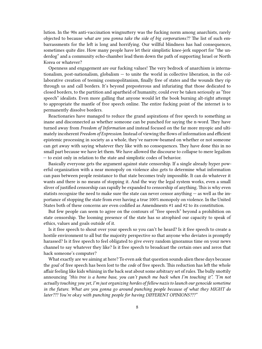lution. In the 90s anti-vaccination wingnuttery was the fucking norm among anarchists, rarely objected to because *what are you gonna take the side of big corporations⁇* The list of such embarrassments for the left is long and horrifying. Our willful blindness has had consequences, sometimes quite dire. How many people have let their simplistic knee-jerk support for "the underdog" and a community echo-chamber lead them down the path of supporting Israel or North Korea or whatever?

Openness and engagement are our fucking values! The very bedrock of anarchism is internationalism, post-nationalism, globalism — to unite the world in collective liberation, in the collaborative creation of teeming cosmopolitanism, finally free of states and the wounds they rip through us and call borders. It's beyond preposterous and infuriating that those dedicated to closed borders, to the partition and apartheid of humanity, could ever be taken seriously as "free speech" idealists. Even more galling that anyone would let the book burning alt-right attempt to appropriate the mantle of free speech online. The entire fucking point of the internet is to permanently dissolve borders.

Reactionaries have managed to reduce the grand aspirations of free speech to something as inane and disconnected as whether someone can be punched for saying the n-word. They have turned away from *Freedom of Information* and instead focused on the far more myopic and ultimately incoherent *Freedom of Expression*. Instead of viewing the flows of information and efficient epistemic processing in society as a whole, they've narrow-beamed on whether or not someone can get away with saying whatever they like with no consequences. They have done this in no small part because we have let them. We have allowed the discourse to collapse to mere legalism — to exist only in relation to the state and simplistic codes of behavior.

Basically everyone gets the argument against state censorship. If a single already hyper powerful organization with a near monopoly on violence also gets to determine what information can pass between people resistance to that state becomes truly impossible. It can do whatever it wants and there is no means of stopping it. And the way the legal system works, even a small sliver of justified censorship can rapidly be expanded to censorship of anything. This is why even statists recognize the need to make sure the state can never censor anything — as well as the importance of stopping the state from ever having a true 100% monopoly on violence. In the United States both of these concerns are even codified as Amendments #1 and #2 to its constitution.

But few people can seem to agree on the contours of "free speech" beyond a prohibition on state censorship. The looming presence of the state has so atrophied our capacity to speak of ethics, values and goals outside of it.

Is it free speech to shout over your speech so you can't be heard? Is it free speech to create a hostile environment to all but the majority perspective so that anyone who deviates is promptly harassed? Is it free speech to feel obligated to give every random ignoramus time on your news channel to say whatever they like? Is it free speech to broadcast the certain ones and zeros that hack someone's computer?

What exactly are we aiming at here? To even ask that question sounds alien these days because the *goal* of free speech has been lost to the *code* of free speech. This reduction has left the whole affair feeling like kids whining in the back seat about some arbitrary set of rules. The bully snottily announcing *"this tree is a home base, you can't punch me back when I'm touching it". "I'm not actually touching you yet, I'm just organizing hordes of fellow nazis to launch our genocide sometime in the future. What are you gonna go around punching people because of what they MIGHT do later??? You're okay with punching people for having DIFFERENT OPINIONS???"*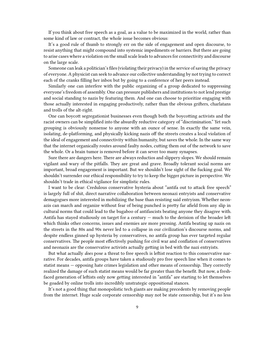If you think about free speech as a goal, as a value to be maximized in the world, rather than some kind of law or contract, the whole issue becomes obvious:

It's a good rule of thumb to strongly err on the side of engagement and open discourse, to resist anything that might compound into systemic impediments or barriers. But there are going to arise cases where a violation on the small scale leads to advances for connectivity and discourse on the large scale.

Someone can leak a politician's files (violating their privacy) in the service of saving the privacy of everyone. A physicist can seek to advance our collective understanding by not trying to correct each of the cranks filling her inbox but by going to a conference of her peers instead.

Similarly one can interfere with the public organizing of a group dedicated to suppressing everyone's freedom of assembly. One can pressure publishers and institutions to not lend prestige and social standing to nazis by featuring them. And one can choose to prioritize engaging with those actually interested in engaging productively, rather than the obvious grifters, charlatans and trolls of the alt-right.

One can boycott segregationist businesses even though both the boycotting activists and the racist owners can be simplified into the absurdly reductive category of "discrimination." Yet such grouping is obviously nonsense to anyone with an ounce of sense. In exactly the same vein, isolating, de-platforming, and physically kicking nazis off the streets creates a local violation of the ideal of engagement and connectivity within humanity, but saves the whole. In the same way that the internet organically routes around faulty nodes, cutting them out of the network to save the whole. Or a brain tumor is removed before it can sever too many synapses.

Sure there are dangers here. There are always reductios and slippery slopes. We should remain vigilant and wary of the pitfalls. They are great and grave. Broadly tolerant social norms are important, broad engagement is important. But we shouldn't lose sight of the fucking goal. We shouldn't surrender our ethical responsibility to try to keep the bigger picture in perspective. We shouldn't trade in ethical vigilance for simplistic rules.

I want to be clear: Credulous conservative hysteria about "antifa out to attack free speech" is largely full of shit, direct narrative collaboration between neonazi entryists and conservative demagogues more interested in mobilizing the base than resisting said entryism. Whether neonazis can march and organize without fear of being punched is pretty far afield from any slip in cultural norms that could lead to the bugaboo of antifascists beating anyone they disagree with. Antifa has stayed studiously on target for a century — much to the derision of the broader left which thinks other concerns, issues and enemies are more pressing. Antifa beating up nazis on the streets in the 80s and 90s never led to a collapse in our civilization's discourse norms, and despite endless ginned up hysteria by conservatives, no antifa group has ever targeted regular conservatives. The people most effectively pushing for civil war and conflation of conservatives and neonazis are the conservative activists actually getting in bed with the nazi entryists.

But what actually *does* pose a threat to free speech is leftist reaction to this conservative narrative. For decades, antifa groups have taken a studiously pro free speech line when it comes to statist means — opposing hate crimes legislation and other means of censorship. They correctly realized the damage of such statist means would be far greater than the benefit. But now, a freshfaced generation of leftists only now getting interested in "antifa" are starting to let themselves be goaded by online trolls into incredibly unstrategic oppositional stances.

It's not a good thing that monopolistic tech giants are making precedents by removing people from the internet. Huge scale corporate censorship may not be state censorship, but it's no less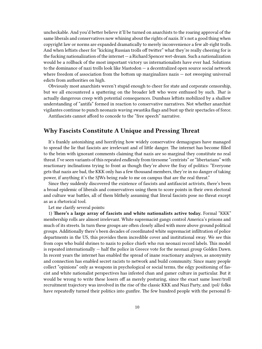uncheckable. And you'd better believe it'll be turned on anarchists to the roaring approval of the same liberals and conservatives now whining about the rights of nazis. It's not a good thing when copyright law or norms are expanded dramatically to merely inconvenience a few alt-right trolls. And when leftists cheer for "kicking Russian trolls off twitter" what they're really cheering for is the fucking nationalization of the internet — a Richard Spencer wet-dream. Such a nationalization would be a rollback of the most important victory us internationalists have ever had. Solutions to the dominance of nazi trolls look like Mastodon — a decentralized open source social network where freedom of association from the bottom up marginalizes nazis — not sweeping universal edicts from authorities on high.

Obviously most anarchists weren't stupid enough to cheer for state and corporate censorship, but we all encountered a spattering on the broader left who were enthused by such. *That* is actually dangerous creep with potential consequences. Dumbass leftists mobilized by a shallow understanding of "antifa" formed in reaction to conservative narratives. Not whether anarchist vigilantes continue to punch neonazis waving swastika flags and bust up their spectacles of force.

Antifascists cannot afford to concede to the "free speech" narrative.

## <span id="page-9-0"></span>**Why Fascists Constitute A Unique and Pressing Threat**

It's frankly astonishing and horrifying how widely conservative demagogues have managed to spread the lie that fascists are irrelevant and of little danger. The internet has become filled to the brim with ignorant comments claiming that nazis are so marginal they constitute no real threat. I've seen variants of this repeated endlessly from tiresome "centrists" or "libertarians" with reactionary inclinations trying to front as though they're above the fray of politics: "Everyone gets that nazis are bad, the KKK only has a few thousand members, they're in no danger of taking power, if anything it's the SJWs being rude to me on campus that are the real threat."

Since they suddenly discovered the existence of fascists and antifascist activists, there's been a broad epidemic of liberals and conservatives using them to score points in their own electoral and culture war battles, all of them blithely assuming that literal fascists pose no threat except as as a rhetorical tool.

Let me clarify several points:

1) **There's a large array of fascists and white nationalists active today.** Formal "KKK" membership rolls are almost irrelevant. White supremacist gangs control America's prisons and much of its streets. In turn these groups are often closely allied with more above ground political groups. Additionally there's been decades of coordinated white supremacist infiltration of police departments in the US, this provides them incredible cover and institutional sway. We see this from cops who build shrines to nazis to police chiefs who run neonazi record labels. This model is repeated internationally — half the police in Greece vote for the neonazi group Golden Dawn. In recent years the internet has enabled the spread of inane reactionary analyses, as anonymity and connection has enabled secret racists to network and build community. Since many people collect "opinions" only as weapons in psychological or social terms, the edgy positioning of fascist and white nationalist perspectives has infested chan and gamer culture in particular. But it would be wrong to write these losers off as merely posturing, since the exact same loser/troll recruitment trajectory was involved in the rise of the classic KKK and Nazi Party, and /pol/ folks have repeatedly turned their politics into gunfire. The few hundred people with the personal fi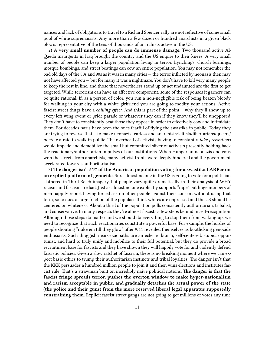nances and lack of obligations to travel to a Richard Spencer rally are not reflective of some small pool of white supremacists. Any more than a few dozen or hundred anarchists in a given black bloc is representative of the tens of thousands of anarchists active in the US.

2) **A very small number of people can do immense damage.** Two thousand active Al-Qaeda insurgents in Iraq brought the country and the US empire to their knees. A very small number of people can keep a larger population living in terror. Lynchings, church burnings, mosque bombings, and street beatings can cow an entire population. You may not remember the bad old days of the 80s and 90s as it was in many cities — the terror inflicted by neonazis then may not have affected you — but for many it was a nightmare. You don't have to kill very many people to keep the rest in line, and those that nevertheless stand up or act undaunted are the first to get targeted. While terrorism can have an affective component, some of the responses it garners can be quite rational. If, as a person of color, you run a non-negligible risk of being beaten bloody for walking in your city with a white girlfriend you are going to modify your actions. Active fascist street thugs have a *chilling effect*. And this is part of the point – why they'll show up to every left wing event or pride parade or whatever they can if they know they'll be unopposed. They don't have to consistently beat those they oppose in order to effectively cow and intimidate them. For decades nazis have been the ones fearful of flying the swastika in public. Today they are trying to reverse that – to make neonazis fearless and anarchists/leftists/libertarians/queers/ poc/etc afraid to walk in public. The overhead of activists having to constantly *take precautions* would impede and demobilize the small but committed sliver of activists presently holding back the reactionary/authoritarian impulses of our institutions. When Hungarian neonazis and cops won the streets from anarchists, many activist fronts were deeply hindered and the government accelerated towards authoritarianism.

3) **The danger isn't 51% of the American population voting for a swastika LARPer on an explicit platform of genocide.** Sure almost no one in the US is going to vote for a politician slathered in Third Reich imagery, but people vary quite dramatically in their analysis of WHY racism and fascism are bad. Just as almost no one explicitly supports "rape" but huge numbers of men happily report having forced sex on other people against their consent without using that term, so to does a large fraction of the populace think whites are oppressed and the US should be centered on whiteness. About a third of the population polls consistently authoritarian, tribalist, and conservative. In many respects they're almost fascists a few steps behind in self-recognition. Although those steps do matter and we should do everything to stop them from waking up, we need to recognize that such reactionaries constitute a powerful base. For example, the hordes of people shouting "nuke em till they glow" after 9/11 revealed themselves as bootlicking genocide enthusiasts. Such thuggish near-sociopaths are an eclectic bunch, self-centered, stupid, opportunist, and hard to truly unify and mobilize to their full potential, but they do provide a broad recruitment base for fascists and they have shown they will happily vote for and violently defend fascistic policies. Given a slow ratchet of fascism, there is no breaking moment where we can expect basic ethics to trump their authoritarian instincts and tribal loyalties. The danger isn't that the KKK persuades a hundred million people to join it and then wins elections and institutes fascist rule. That's a strawman built on incredibly naive political notions. **The danger is that the fascist fringe spreads terror, pushes the overton window to make hyper-nationalism and racism acceptable in public, and gradually detaches the actual power of the state (the police and their guns) from the more reserved liberal legal apparatus supposedly constraining them.** Explicit fascist street gangs are not going to get millions of votes any time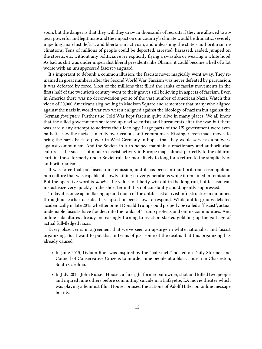soon, but the danger is that they will they draw in thousands of recruits if they are allowed to appear powerful and legitimate and the impact on our country's climate would be dramatic, severely impeding anarchist, leftist, and libertarian activism, and unleashing the state's authoritarian inclinations. Tens of millions of people could be deported, arrested, harassed, raided, jumped on the streets, etc, without any politician ever explicitly flying a swastika or wearing a white hood. As bad as shit was under imperialist liberal presidents like Obama, it could become a hell of a lot worse with an unsuppressed fascist vanguard.

It's important to debunk a common illusion: the fascists never magically went away. They remained in great numbers after the Second World War. Fascism was never defeated by persuasion, it was defeated by force. Most of the millions that filled the ranks of fascist movements in the firsts half of the twentieth century went to their graves still believing in aspects of fascism. Even in America there was no deconversion per se of the vast number of american Nazis. Watch this video of 20,000 Americans sieg heiling in Madison Square and remember that many who aligned against the nazis in world war two weren't aligned against the ideology of nazism but against the German *foreigners*. Further the Cold War kept fascism quite alive in many places. We all know that the allied governments snatched up nazi scientists and bureaucrats after the war, but there was rarely any attempt to address their ideology. Large parts of the US government were sympathetic, saw the nazis as merely over-zealous anti-communists. Kissinger even made moves to bring the nazis back to power in West Germany in hopes that they would serve as a bulwark against communism. And the Soviets in turn helped maintain a reactionary and authoritarian culture — the success of modern fascist activity in Europe maps almost perfectly to the old iron curtain, those formerly under Soviet rule far more likely to long for a return to the simplicity of authoritarianism.

It was force that put fascism in remission, and it has been anti-authoritarian cosmopolitan pop culture that was capable of slowly killing it over generations while it remained in remission. But the operative word is *slowly*. The values of liberty win out in the long run, but fascism can metastasize very quickly in the short term if it is not constantly and diligently suppressed.

Today it is once again flaring up and much of the antifascist activist infrastructure maintained throughout earlier decades has lapsed or been slow to respond. While antifa groups debated academically in late 2015 whether or not Donald Trump could properly be called a "fascist", actual undeniable fascists have flooded into the ranks of Trump protests and online communities. And online subcultures already increasingly turning to reaction started gobbling up the garbage of actual full-fledged nazis.

Every observer is in agreement that we've seen an upsurge in white nationalist and fascist organizing. But I want to put that in terms of just some of the deaths that this organizing has already caused:

- In June 2015, Dylann Roof was inspired by the "hate facts" posted on Daily Stormer and Council of Conservative Citizens to murder nine people at a black church in Charleston, South Carolina.
- In July 2015, John Russell Houser, a far-right former bar owner, shot and killed two people and injured nine others before committing suicide in a Lafayette, LA movie theater which was playing a feminist film. Houser praised the actions of Adolf Hitler on online message boards.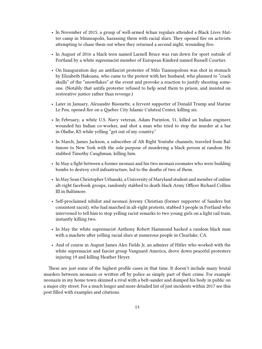- In November of 2015, a group of well-armed 4chan regulars attended a Black Lives Matter camp in Minneapolis, harassing them with racial slurs. They opened fire on activists attempting to chase them out when they returned a second night, wounding five.
- In August of 2016 a black teen named Larnell Bruce was run down for sport outside of Portland by a white supremacist member of European Kindred named Russell Courtier.
- On Inauguration day an antifascist protester of Milo Yiannopolous was shot in stomach by Elizabeth Hakoana, who came to the protest with her husband, who planned to "crack skulls" of the "snowflakes" at the event and provoke a reaction to justify shooting someone. (Notably that antifa protester refused to help send them to prison, and insisted on restorative justice rather than revenge.)
- Later in January, Alexandre Bisonette, a fervent supporter of Donald Trump and Marine Le Pen, opened fire on a Quebec City Islamic Culutral Center, killing six.
- In February, a white U.S. Navy veteran, Adam Purinton, 51, killed an Indian engineer, wounded his Indian co-worker, and shot a man who tried to stop the murder at a bar in Olathe, KS while yelling "get out of my country."
- In March, James Jackson, a subscriber of Alt Right Youtube channels, traveled from Baltimore to New York with the sole purpose of murdering a black person at random. He stabbed Timothy Caughman, killing him.
- In May a fight between a former neonazi and his two neonazi roomates who were building bombs to destroy civil infrastructure, led to the deaths of two of them.
- In May Sean Christopher Urbanski, a University of Maryland student and member of online alt-right facebook groups, randomly stabbed to death black Army Officer Richard Collins III in Baltimore.
- Self-proclaimed nihilist and neonazi Jeremy Christian (former supporter of Sanders but consistent racist), who had marched in alt-right protests, stabbed 3 people in Portland who intervened to tell him to stop yelling racist remarks to two young girls on a light rail train, instantly killing two.
- In May the white supremacist Anthony Robert Hammond hacked a random black man with a machete after yelling racial slurs at numerous people in Clearlake, CA.
- And of course in August James Alex Fields Jr, an admirer of Hitler who worked with the white supremacist and fascist group Vanguard America, drove down peaceful protesters injuring 19 and killing Heather Heyer.

These are just some of the highest profile cases in that time. It doesn't include many brutal murders between neonazis or written off by police as simply part of their crime. For example neonazis in my home town skinned a rival with a belt-sander and dumped his body in public on a major city street. For a much longer and more detailed list of just incidents within 2017 see this post filled with examples and citations.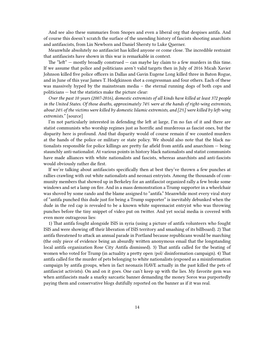And see also these summaries from Snopes and even a liberal org that despises antifa. And of course this doesn't scratch the surface of the unending history of fascists shooting anarchists and antifascists, from Lin Newborn and Daniel Shersty to Luke Querner.

Meanwhile absolutely no antifascist has killed anyone or come close. The incredible restraint that antifascists have shown in this war is remarkable in context.

The "left"  $-$  mostly broadly construed  $-$  can maybe lay claim to a few murders in this time. If we assume that police and politicians aren't valid targets then in July of 2016 Micah Xavier Johnson killed five police officers in Dallas and Gavin Eugene Long killed three in Baton Rogue, and in June of this year James T. Hodgkinson shot a congressman and four others. Each of these was massively hyped by the mainstream media – the eternal running dogs of both cops and politicians — but the statistics make the picture clear:

*Over the past 10 years (2007-2016), domestic extremists of all kinds have killed at least 372 people in the United States. Of those deaths, approximately 74% were at the hands of right-wing extremists, about 24% of the victims were killed by domestic Islamic extremists, and [2%] were killed by left-wing extremists."* [source]

I'm not particularly interested in defending the left at large, I'm no fan of it and there are statist communists who worship regimes just as horrific and murderous as fascist ones, but the disparity here is profound. And that disparity would of course remain if we counted murders at the hands of the police or military or state policy. We should also note that the black nationalists responsible for police killings are pretty far afield from antifa and anarchism — being staunchly anti-nationalist. At various points in history black nationalists and statist communists have made alliances with white nationalists and fascists, whereas anarchists and anti-fascists would obviously rather die first.

If we're talking about antifascists specifically then at best they've thrown a few punches at rallies crawling with out white nationalists and neonazi entryists. Among the thousands of community members that showed up in Berkeley for an antifascist organized rally a few broke some windows and set a lamp on fire. And in a mass demonstration a Trump supporter in a wheelchair was shoved by some rando and the blame assigned to "antifa." Meanwhile most every viral story of "antifa punched this dude just for being a Trump supporter" is inevitably debunked when the dude in the red cap is revealed to be a known white supremacist entryist who was throwing punches before the tiny snippet of video put on twitter. And yet social media is covered with even more outrageous lies:

1) That antifa fought alongside ISIS in syria (using a picture of antifa volunteers who fought ISIS and were showing off their liberation of ISIS territory and smashing of its billboard). 2) That antifa threatened to attack an annual parade in Portland because republicans would be marching (the only piece of evidence being an absurdly written anonymous email that the longstanding local antifa organization Rose City Antifa dismissed). 3) That antifa called for the beating of women who voted for Trump (in actuality a pretty open /pol/ disinformation campaign). 4) That antifa called for the murder of pets belonging to white nationalists (exposed as a misinformation campaign by antifa groups, when in fact neonazis HAVE actually in the past killed the pets of antifascist activists). On and on it goes. One can't keep up with the lies. My favorite gem was when antifascists made a snarky sarcastic banner demanding the money Soros was purportedly paying them and conservative blogs dutifully reported on the banner as if it was real.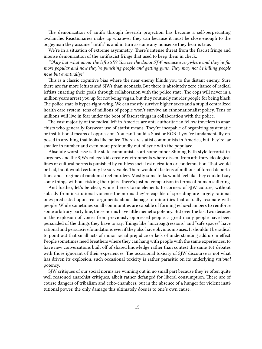The demonization of antifa through feverish projection has become a self-perpetuating avalanche. Reactionaries make up whatever they can because it must be close enough to the bogeyman they assume "antifa" is and in turn assume any nonsense they hear is true.

We're in a situation of extreme asymmetry. There's intense threat from the fascist fringe and intense demonization of the antifascist fringe that used to keep them in check.

*"Okay but what about the leftists⁉? You see the damn SJW menace everywhere and they're far more popular and now they're punching people and getting guns. They may not be killing people now, but eventually!"*

This is a classic cognitive bias where the near enemy blinds you to the distant enemy. Sure there are far more leftists and SJWs than neonazis. But there is absolutely zero chance of radical leftists enacting their goals through collaboration with the police state. The cops will never in a million years arrest you up for not being vegan, but they routinely murder people for being black. The police state is hyper-right-wing. We can mostly survive higher taxes and a stupid centralized health care system, tens of millions of people won't survive an ethnonationalist policy. Tens of millions will live in fear under the boot of fascist thugs in collaboration with the police.

The vast majority of the radical left in America are anti-authoritarian fellow travelers to anarchists who generally forswear use of statist means. They're incapable of organizing systematic or institutional means of oppression. You can't build a Stasi or KGB if you're fundamentally opposed to anything that looks like police. There are statist communists in America, but they're far smaller in number and even more profoundly out of sync with the populace.

Absolute worst case is the state communists start some minor Shining Path style terrorist insurgency and the SJWs college kids create environments where dissent from arbitrary ideological lines or cultural norms is punished by ruthless social ostracization or condemnation. That would be bad, but it would certainly be survivable. There wouldn't be tens of millions of forced deportations and a regime of random street murders. Mostly some folks would feel like they couldn't say some things without risking their jobs. There's just no comparison in terms of human suffering.

And further, let's be clear, while there's toxic elements to corners of SJW culture, without subsidy from institutional violence the norms they're capable of spreading are largely rational ones predicated upon real arguments about damage to minorities that actually resonate with people. While sometimes small communities are capable of forming echo-chambers to reinforce some arbitrary party line, those norms have little memetic potency. But over the last two decades in the explosion of voices from previously oppressed people, a great many people have been persuaded of the things they have to say. Things like "microaggressions" and "safe spaces" have rational and persuasive foundations even if they also have obvious misuses. It shouldn't be radical to point out that small acts of minor racial prejudice or lack of understanding add up in effect. People sometimes need breathers where they can hang with people with the same experiences, to have new conversations built off of shared knowledge rather than contest the same 101 debates with those ignorant of their experiences. The occasional toxicity of SJW discourse is not what has driven its explosion, such occasional toxicity is rather parasitic on its underlying *rational* potency.

SJW critiques of our social norms are winning out in no small part because they're often quite well reasoned anarchist critiques, albeit rather defanged for liberal consumption. There are of course dangers of tribalism and echo-chambers, but in the absence of a hunger for violent institutional power, the only damage this ultimately does is to one's own cause.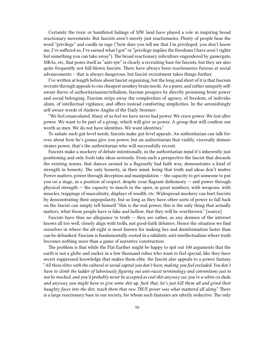Certainly the toxic or hamfisted failings of SJW land have played a role in inspiring broad reactionary movements. But fascists aren't merely just reactionaries. Plenty of people hear the word "privilege" and curdle in rage ("how dare you tell me that I'm privileged, you don't know me, I've suffered so, I've earned what I got" or "privilege implies the freedoms I have aren't rights but something you can take away"). The broad reactionary subculture engendered by gamergate, MRAs, etc, that poses itself as "anti-sjw" is clearly a recruiting base for fascists, but they are also quite frequently not full-blown fascists. There have always been reactionaries furious at social advancements – that is always dangerous, but fascist recruitment takes things further.

I've written at length before about fascist organizing, but the long and short of it is that fascism recruits through appeals to our cheapest monkey brain needs. As a purer, and rather uniquely selfaware flavor of authoritarianism/tribalism, fascism prospers by directly promising brute power and social belonging. Fascism strips away the complexities of agency, of freedom, of individualism, of intellectual vigilance, and offers instead comforting simplicities. In the astonishingly self-aware words of Andrew Anglin of the Daily Stormer:

"We feel emasculated. Many of us feel we have never had power. We crave power. We lust after power. We want to be part of a group, which will give us power. A group that will confirm our worth as men. We do not have identities. We want identities."

To satiate such gut-level needs, fascists make gut-level appeals. An authoritarian can talk forever about how he's gonna give you power, but an authoritarian that visibly, viscerally demonstrates power, that's the authoritarian who will successfully recruit.

Fascists make a mockery of debate intentionally, in the authoritarian mind it's inherently just positioning and only fools take ideas seriously. From such a perspective the fascist that discards the existing norms, that dances around in a flagrantly bad faith way, demonstrates a kind of strength in honesty. The only honesty, in their mind, being that truth and ideas don't matter. Power matters, power through deception and manipulation — the capacity to get someone to put you on a stage, in a position of respect, despite your flagrant dishonesty — and power through physical strength — the capacity to march in the open, in great numbers, with weapons, with muscles, trappings of masculinity, displays of wealth, etc. Widespread mockery can hurt fascists by demonstrating their unpopularity, but so long as they have other sorts of power to fall back on the fascist can simply tell himself "this is the real power, this is the only thing that actually matters, what those people have is fake and hollow, that they will be overthrown." [source]

Fascists have thus no allegiance to truth  $-$  they are rather, as any denizen of the internet knows all too well, closely align with trolls, not good-faith debaters. Hence the situation we find ourselves in where the alt-right is most known for making lies and disinformation faster than can be debunked. Fascism is fundamentally rooted in a nihilistic anti-intellectualism where truth becomes nothing more than a game of narrative construction.

The problem is that while the Flat Earther might be happy to spit out 100 arguments that the earth is not a globe and sucker in a few thousand rubes who want to feel special, like they have secret suppressed knowledge that makes them elite, the fascist also appeals to a power fantasy. "*All those elites with the cultural or social capital you don't have, making you feel excluded. You don't have to climb the ladder of laboriously figuring out anti-racist terminology and conventions just to not be mocked, and you'd probably never be accepted as cool shit anyway cuz you're a white cis dude, and anyway you might have to give some shit up, fuck that, let's just kill them all and grind their haughty faces into the dirt, teach them that raw TRUE power was what mattered all along*." There is a large reactionary base in our society, for whom such fantasies are utterly seductive. The only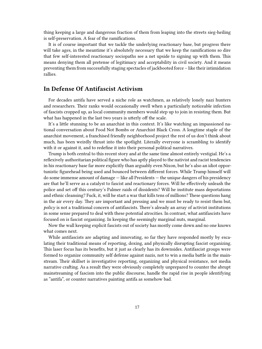thing keeping a large and dangerous fraction of them from leaping into the streets sieg-heiling is self-preservation. A fear of the ramifications.

It is of course important that we tackle the underlying reactionary base, but progress there will take ages, in the meantime it's absolutely necessary that we keep the ramifications so dire that few self-interested reactionary sociopaths see a net upside to signing up with them. This means denying them all pretense of legitimacy and acceptability in civil society. And it means preventing them from successfully staging spectacles of jackbooted force – like their intimidation rallies.

### <span id="page-16-0"></span>**In Defense Of Antifascist Activism**

For decades antifa have served a niche role as watchmen, as relatively lonely nazi hunters and researchers. Their ranks would occasionally swell when a particularly noticeable infection of fascists cropped up, as local community members would step up to join in resisting them. But what has happened in the last two years is utterly off the scale.

It's a little stunning to be an anarchist in this context. It's like watching an impassioned national conversation about Food Not Bombs or Anarchist Black Cross. A longtime staple of the anarchist movement, a franchised friendly neighborhood project the rest of us don't think about much, has been weirdly thrust into the spotlight. Literally everyone is scrambling to identify with it or against it, and to redefine it into their personal political narratives.

Trump is both central to this recent story and at the same time almost entirely vestigial. He's a reflexively authoritarian political figure who has aptly played to the nativist and racist tendencies in his reactionary base far more explicitly than arguably even Nixon, but he's also an idiot opportunistic figurehead being used and bounced between different forces. While Trump himself will do some immense amount of damage — like all Presidents — the unique dangers of his presidency are that he'll serve as a catalyst to fascist and reactionary forces. Will he effectively unleash the police and set off this century's Palmer raids of dissidents? Will he institute mass deportations and ethnic cleansing? Fuck, it, will he start a war that kills tens of millions? These questions hang in the air every day. They are important and pressing and we must be ready to resist them but, *policy* is not a traditional concern of antifascists. There's already an array of activist institutions in some sense prepared to deal with these potential atrocities. In contrast, what antifascists have focused on is fascist organizing. In keeping the seemingly marginal nuts, marginal.

Now the wall keeping explicit fascists out of society has mostly come down and no one knows what comes next.

While antifascists are adapting and innovating, so far they have responded mostly by escalating their traditional means of reporting, doxing, and physically disrupting fascist organizing. This laser focus has its benefits, but it just as clearly has its downsides. Antifascist groups were formed to organize community self defense against nazis, not to win a media battle in the mainstream. Their skillset is investigative reporting, organizing and physical resistance, not media narrative crafting. As a result they were obviously completely unprepared to counter the abrupt mainstreaming of fascism into the public discourse, handle the rapid rise in people identifying as "antifa", or counter narratives painting antifa as somehow bad.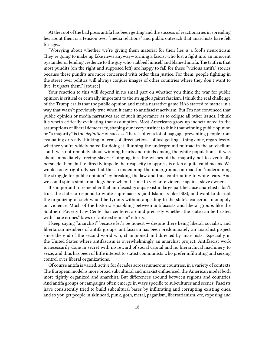At the root of the bad press antifa has been getting and the success of reactionaries in spreading lies about them is a tension over "media relations" and public outreach that anarchists have felt for ages.

"Worrying about whether we're giving them material for their lies is a fool's neuroticism. They're going to make up fake news anyway—turning a fascist who lost a fight into an innocent bystander or lending credence to the guy who stabbed himself and blamed antifa. The truth is that most pundits (on the right and supposed left) are happy to fall for these "vicious antifa" stories because these pundits are more concerned with order than justice. For them, people fighting in the street over politics will always conjure images of other countries where they don't want to live. It upsets them." [source]

Your reaction to this will depend in no small part on whether you think the war for public opinion is critical or centrally important to the struggle against fascism. I think the real challenge of the Trump era is that the public opinion and media narrative game HAS started to matter in a way that wasn't previously true when it came to antifascist activism. But I'm not convinced that public opinion or media narratives are of such importance as to eclipse all other issues. I think it's worth critically evaluating that assumption. Most Americans grow up indoctrinated in the assumptions of liberal democracy, shaping our every instinct to think that winning public opinion or "a majority" is the *definition* of success. There's often a lot of baggage preventing people from evaluating or really thinking in terms of direct action – of just getting a thing done, regardless of whether you're widely hated for doing it. Running the underground railroad in the antebellum south was not remotely about winning hearts and minds among the white population – it was about immediately freeing slaves. Going against the wishes of the majority not to eventually persuade them, but to directly impede their capacity to oppress is often a quite valid means. We would today rightfully scoff at those condemning the underground railroad for "undermining the struggle for public opinion" by breaking the law and thus contributing to white fears. And we could spin a similar analogy here when it came to vigilante violence against slave owners.

It's important to remember that antifascist groups exist in large part because anarchists don't trust the state to respond to white supremacists (and Islamists like ISIS), and want to disrupt the organizing of such would-be-tyrants without appealing to the state's cancerous monopoly on violence. Much of the historic squabbling between antifascists and liberal groups like the Southern Poverty Law Center has centered around precisely whether the state can be trusted with "hate crimes" laws or "anti-extremism" efforts.

I keep saying "anarchist" because let's be honest — despite there being liberal, socialist, and libertarian members of antifa groups, antifascism has been predominately an anarchist project since the end of the second world war, championed and directed by anarchists. Especially in the United States where antifascism is overwhelmingly an anarchist project. Antifascist work is necessarily done in secret with no reward of social capital and no hierarchical machinery to seize, and thus has been of little interest to statist communists who prefer infiltrating and seizing control over liberal organizations.

Of course antifa is varied, active for decades across numerous countries, in a variety of contexts. The European model is more broad subcultural and marxist-influenced, the American model both more tightly organized and anarchist. But differences abound between regions and countries. And antifa groups or campaigns often emerge in ways specific to subcultures and scenes. Fascists have consistently tried to build subcultural bases by infiltrating and corrupting existing ones, and so you get people in skinhead, punk, goth, metal, paganism, libertarianism, etc, exposing and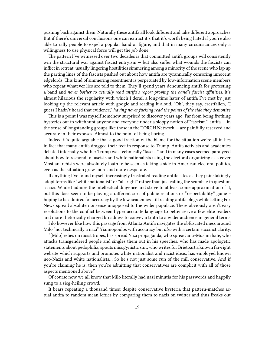pushing back against them. Naturally these antifa all look different and take different approaches. But if there's universal conclusions one can extract it's that it's worth being hated if you're also able to rally people to expel a popular band or figure, and that in many circumstances only a willingness to use physical force will get the job done.

The pattern I've witnessed over two decades is that committed antifa groups will consistently win the structural war against fascist entryism  $-$  but also suffer what wounds the fascists can inflict in retreat: usually lingering hostilities simmering among a minority of the scene who lap up the parting lines of the fascists pushed out about how antifa are tyrannically censoring innocent edgelords. This kind of simmering resentment is perpetuated by low-information scene members who repeat whatever lies are told to them. They'll spend years denouncing antifa for protesting a band and *never bother to actually read antifa's report proving the band's fascist affinities*. It's almost hilarious the regularity with which I derail a long-time hater of antifa I've met by just looking up the relevant article with google and reading it aloud. "Oh", they say, crestfallen, "I guess I hadn't heard that evidence," *having never fucking read the points of the side they demonize.*

This is a point I was myself somehow surprised to discover years ago. Far from being frothing hysterics out to witchhunt anyone and everyone under a sloppy notion of "fascism", antifa — in the sense of longstanding groups like those in the TORCH Network — are painfully reserved and accurate in their exposes. Almost to the point of being boring.

Indeed it's quite arguable that a good fraction of the blame for the situation we're all in lies in fact that many antifa dragged their feet in response to Trump. Antifa activists and academics debated internally whether Trump was technically "fascist" and in many cases seemed paralyzed about how to respond to fascists and white nationalists using the electoral organizing as a cover. Most anarchists were absolutely loath to be seen as taking a side in American electoral politics, even as the situation grew more and more desperate.

If anything I've found myself increasingly frustrated reading antifa sites as they painstakingly adopt terms like "white nationalist" or "alt-right" rather than just calling the scumbag in question a nazi. While I admire the intellectual diligence and strive to at least some approximation of it, but this does seem to be playing a different sort of public relations or "respectability" game – hoping to be admired for accuracy by the few academics still reading antifa blogs while letting Fox News spread absolute nonsense unopposed to the wider populace. There obviously aren't easy resolutions to the conflict between hyper accurate language to better serve a few elite readers and more rhetorically charged broadness to convey a truth to a wider audience in general terms.

I do however like how this passage from Atlanta Antifa navigates the obfuscated mess around Milo "not technically a nazi" Yiannopoulos with accuracy but *also* with a certain succinct clarity:

"[Milo] relies on racist tropes, has spread Nazi propaganda, who spread anti-Muslim hate, who attacks transgendered people and singles them out in his speeches, who has made apologetic statements about pedophilia, spouts misogynistic shit, who writes for Brietbart a known far-right website which supports and promotes white nationalist and racist ideas, has employed known neo-Nazis and white nationalists… So he's not just some run of the mill conservative. And if you're claiming he is, then you're admitting that conservatives are complicit with all of those aspects mentioned above."

Of course now we all know that Milo literally had nazi minutia for his passwords and happily sung to a sieg-heiling crowd.

It bears repeating a thousand times: despite conservative hysteria that pattern-matches actual antifa to random mean lefties by comparing them to nazis on twitter and thus freaks out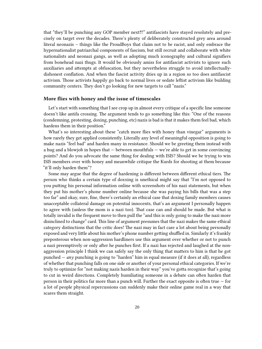that "they'll be punching any GOP member next‼!" antifascists have stayed resolutely and precisely on target over the decades. There's plenty of deliberately constructed grey area around literal neonazis – things like the ProudBoys that claim not to be racist, and only embrace the hypernationalist patriarchal components of fascism, but still recruit and collaborate with white nationalists and neonazi gangs, as well as adopting much iconography and cultural signifiers from bonehead nazi thugs. It would be obviously amiss for antifascist activists to ignore such auxiliaries and attempts at obfuscation, but they nevertheless struggle to avoid intellectuallydishonest conflation. And when the fascist activity dries up in a region so too does antifascist activism. Those activists happily go back to normal lives or sedate leftist activism like building community centers. They don't go looking for new targets to call "nazis."

#### <span id="page-19-0"></span>**More flies with honey and the issue of timescales**

Let's start with something that I see crop up in almost every critique of a specific line someone doesn't like antifa crossing. The argument tends to go something like this: "One of the reasons (condemning, protesting, doxing, punching, etc) nazis is bad is that it makes them feel bad, which hardens them in their position."

What's so interesting about these "catch more flies with honey than vinegar" arguments is how rarely they get applied consistently. Literally any level of meaningful opposition is going to make nazis "feel bad" and harden many in resistance. Should we be greeting them instead with a hug and a blowjob in hopes that — between mouthfuls — we're able to get in some convincing points? And do you advocate the same thing for dealing with ISIS? Should we be trying to win ISIS members over with honey and meanwhile critique the Kurds for shooting at them because "it'll only harden them"?

Some may argue that the degree of hardening is different between different ethical tiers. The person who thinks a certain type of doxxing is unethical might say that "I'm not opposed to you putting his personal information online with screenshots of his nazi statements, but when they put his mother's phone number online because she was paying his bills that was a step too far" and okay, sure, fine, there's certainly an ethical case that doxing family members causes unacceptable collateral damage on potential innocents, that's an argument I personally happen to agree with (unless the mom is a nazi too). That case can and should be made. But what is totally invalid is the frequent move to then pull the "and this is only going to make the nazi more disinclined to change" card. This line of argument presumes that the nazi makes the same ethical category distinctions that the critic does! The nazi may in fact care a lot about being personally exposed and very little about his mother's phone number getting shuffled in. Similarly it's frankly preposterous when non-aggression hardliners use this argument over whether or not to punch a nazi preemptively or only after he punches first. If a nazi has rejected and laughed at the nonaggression principle I think we can safely say the only thing that matters to him is that he got punched — *any* punching is going to "harden" him in equal measure (if it does at all), regardless of whether that punching falls on one side or another of your personal ethical categories. If we're truly to optimize for "not making nazis harden in their way" you've gotta recognize that's going to cut in weird directions. Completely humiliating someone in a debate can often harden that person in their politics far more than a punch will. Further the exact opposite is often true — for a lot of people physical repercussions can suddenly make their online game real in a way that scares them straight.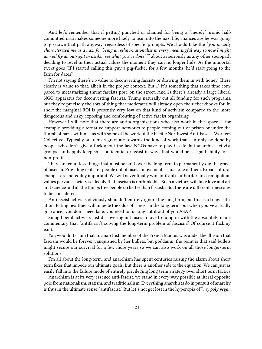And let's remember that if getting punched or shamed for being a "merely" ironic halfcommitted nazi makes someone more likely to lean into the nazi life, chances are he was going to go down that path anyway, regardless of specific prompts. We should take the "*you meanly characterized me as a nazi for being an ethno-nationalist in every meaningful way so now I might as well fly an outright swastika, see what you've done??*" about as seriously as any other sociopath deciding to revel in their actual values the moment they can no longer hide. As the immortal tweet goes "If I started calling this guy a pig-fucker for a few months, he'd start going to the farm for dates"

I'm not saying there's *no* value to deconverting fascists or drawing them in with honey. There clearly is value to that, albeit in the proper context. But 1) it's something that takes time compared to metastasizing threat fascists pose on the street. And 2) there's already a large liberal NGO apparatus for deconverting fascists. Trump naturally cut all funding for such programs, but they're precisely the sort of thing that moderates will already open their checkbooks for. In short the marginal ROI is presently very low on that kind of activism compared to the more dangerous and risky exposing and confronting of active fascist organizing.

However I will note that there are antifa organizations who also work in this space  $-$  for example providing alternative support networks to people coming out of prison or under the thumb of nazis within — as with some of the work of the Pacific Northwest Anti-Fascist Workers Collective. Typically anarchists gravitate towards the kind of work that can only be done by people who don't give a fuck about the law. NGOs have to play it safe, but anarchist activist groups can happily keep shit confidential or assist in ways that would be a legal liability for a non-profit.

There are countless things that must be built over the long term to permanently dig the grave of fascism. Providing exits for people out of fascist movements is just one of them. Broad cultural changes are incredibly important. We will never finally win until anti-authoritarian cosmopolitan values pervade society so deeply that fascism is unthinkable. Such a victory will take love and art and science and all the things free people do better than fascists. But there are different timescales to be considered.

Antifascist activists obviously shouldn't entirely ignore the long term, but this is a triage situation. Eating healthier will impede the odds of cancer in the long term, but when you've actually got cancer you don't need kale, you need to fucking cut it out of you ASAP.

Smug liberal activists just discovering antifascism love to jump in with the absolutely inane commentary that "antifa isn't solving the long-term problem of fascism." Of course it fucking isn't.

You wouldn't claim that an anarchist member of the French Maquis was under the illusion that fascism would be forever vanquished by her bullets, but goddamn, the point is that said bullets might secure our survival for a few more years so we can also work on all those longer-term solutions.

I'm all about the long-term, and anarchism has spent centuries raising the alarm about short term fixes that impede our ultimate goals. But there is another side to the equation. We can just as easily fall into the failure mode of entirely privileging long term strategy over short term tactics.

Anarchism is at its very essence anti-fascist, we stand in every way possible at literal opposite pole from nationalism, statism, and traditionalism. Everything anarchists do in pursuit of anarchy is thus in the ultimate sense "antifascist." But let's not get lost in the hyperopia of "*my poly vegan*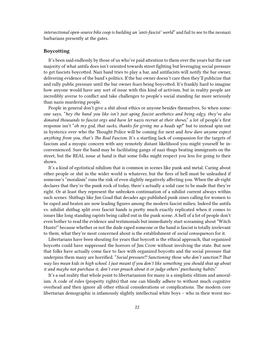*intersectional open-source bike coop is building an 'anti-fascist' world*" and fail to see to the neonazi barbarians presently at the gates.

#### <span id="page-21-0"></span>**Boycotting**

It's been said endlessly by those of us who've paid attention to them over the years but the vast majority of what antifa does isn't oriented towards street fighting but leveraging social pressure to get fascists boycotted. Nazi band tries to play a bar, and antifacists will notify the bar owner, delivering evidence of the band's politics. If the bar owner doesn't care then they'll publicize that and rally public pressure until the bar owner fears being boycotted. It's frankly hard to imagine how anyone would have any sort of issue with this kind of activism, but in reality people are incredibly averse to conflict and take challenges to people's social standing far more seriously than nazis murdering people.

People in general don't give a shit about ethics or anyone besides themselves. So when someone says, "*hey the band you like isn't just aping fascist aesthetics and being edgy, they've also donated thousands to fascist orgs and have let nazis recruit at their shows*," a lot of people's first response isn't "*oh my god, that sucks, thanks for giving me a heads up!*" but to instead spin out in hysterics over who the Thought Police will be coming for next and *how dare anyone expect anything from you, that's The Real Fascism*. It's a startling lack of compassion for the targets of fascism and a myopic concern with any remotely distant likelihood you might yourself be inconvenienced. Sure the band may be facilitating gangs of nazi thugs beating immigrants on the street, but the REAL issue at hand is that some folks might respect you less for going to their shows.

It's a kind of egotistical nihilism that is common in scenes like punk and metal. Caring about other people or shit in the wider world is whatever, but the fires of hell must be unleashed if someone's "moralism" runs the risk of even slightly negatively affecting you. When the alt-right declares that they're the punk rock of today, there's actually a solid case to be made that they're right. Or at least they represent the unbroken continuation of a nihilist current always within such scenes. Shitbags like Jim Goad that decades ago published punk zines calling for women to be raped and beaten are now leading figures among the modern fascist milieu. Indeed the antifa vs. nihilist shitbag split over fascist bands is pretty much exactly replicated when it comes to issues like long standing rapists being called out in the punk scene. A hell of a lot of people don't even bother to read the evidence and testimonials but immediately start screaming about "Witch Hunts!" because whether or not the dude raped someone or the band is fascist is totally irrelevant to them, what they're most concerned about is the establishment of *social consequences* for it.

Libertarians have been shouting for years that boycott is the ethical approach, that organized boycotts could have suppressed the horrors of Jim Crow without involving the state. But now that folks have actually come face to face with organized boycotts and the social pressure that underpins them many are horrified. "*Social pressure⁉ Sanctioning those who don't sanction⁈ That way lies mean kids in high school. I just meant if you don't like something you should shut up about it and maybe not purchase it, don't ever preach about it or judge others' purchasing habits*."

It's a sad reality that whole point to libertarianism for many is a simplistic elitism and amoralism. A code of rules (property rights) that one can blindly adhere to without much cognitive overhead and then ignore all other ethical considerations or complications. The modern core libertarian demographic is infamously slightly intellectual white boys – who in their worst mo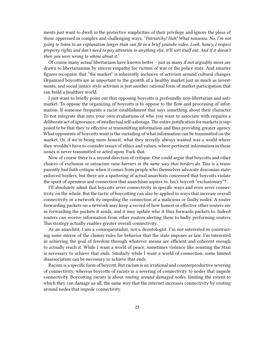ments just want to dwell in the protective simplicities of their privilege and ignore the pleas of those oppressed in complex and challenging ways. "*Patriarchy! Hah! What nonsense. No, I'm not going to listen to an explanation longer than can fit in a brief youtube video. Look, honey, I respect property rights and don't need to pay attention to anything else, it'll sort itself out. And if it doesn't then you were wrong to whine about it.*"

Of course many *actual* libertarians have known better – just as many if not arguably more are drawn to libertarianism by sincere empathy for victims of war or the police state. And smarter figures recognize that "the market" is inherently inclusive of activism around cultural changes. Organized boycotts are as important to the growth of a healthy market just as much as investments, and social justice style activism is just another rational form of market participation that can build a healthier world.

I just want to briefly point out that opposing boycotts is profoundly non-libertarian and antimarket. To oppose the organizing of boycotts is to oppose to the flow and processing of information. If someone frequents a racist establishment that says something about their character. To not integrate that into your own evaluations of who you want to associate with requires a deliberate act of ignorance, of intellectual self-sabotage.The entire justification for markets is supposed to be that they're effective at transmitting information and thus providing greater agency. What opponents of boycotts want is the curtailing of what information can be transmitted on the market. Or, if we're being more honest, what they secretly always wanted was a world where they wouldn't have to consider issues of ethics and values, where pertinent information in those issues is never transmitted or acted upon. Fuck that.

Now of course there is a second direction of critique. One could argue that boycotts and other choices of exclusion or ostracism *raise barriers in the same way that borders do*. This is a transparently bad faith critique when it comes from people who themselves advocate draconian stateenforced borders, but there are a spattering of actual anarchists concerned that boycotts violate the spirit of openness and connection that anarchism aspires to. Isn't boycott "exclusionary"?

I'll absolutely admit that boycotts sever connectivity in specific ways and even sever connectivity on the whole. But the tactic of boycotting can also be applied in ways that increase overall connectivity in a network *by* impeding the connection of a malicious or faulty nodes. A router forwarding packets on a network may keep a record of how honest or effective other routers are in forwarding the packets it sends, and it may update who it thus forwards packets to. Indeed routers can receive information from other routers alerting them to badly performing routers. This strategy actually enables greater overall connectivity.

As an anarchist, I am a consequentialist, not a deontologist. I'm not interested in constructing some mirror of the clumsy rules for behavior that the state imposes as law. I'm interested in achieving the goal of freedom through whatever means are efficient and coherent enough to actually reach it. While I want a world of peace, sometimes violence like resisting the Stasi is necessary to achieve that ends. Similarly while I want a world of connection, some limited disassociation can be necessary to achieve that ends.

Racism is a specific form of boycott. But racism is an irrational and counterproductive severing of connectivity, whereas boycotts of racists is a severing of connectivity to nodes that impede connectivity. Boycotting racists is about *routing around damaged nodes*, limiting the extent to which they can damage us all, the same way that the internet increases connectivity by routing around nodes that impede connectivity.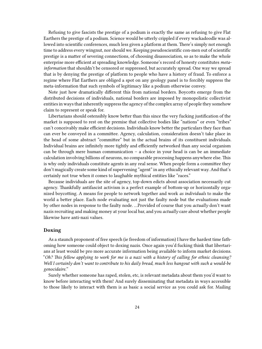Refusing to give fascists the prestige of a podium is exactly the same as refusing to give Flat Earthers the prestige of a podium. Science would be utterly crippled if every wackadoodle was allowed into scientific conferences, much less given a platform at them. There's simply not enough time to address every wingnut, nor should we. Keeping pseudoscientific con-men out of scientific prestige is a matter of severing connections, of choosing disassociation, so as to make the whole enterprise more efficient at spreading knowledge. Someone's record of honesty constitutes *metainformation* that shouldn't be censored or suppressed, but accurately spread. One way we spread that is by denying the prestige of platform to people who have a history of fraud. To enforce a regime where Flat Earthers are obliged a spot on any geology panel is to forcibly suppress the meta-information that such symbols of legitimacy like a podium otherwise convey.

Note just how dramatically different this from national borders. Boycotts emerge from the distributed decisions of individuals, national borders are imposed by monopolistic collectivist entities in ways that inherently suppress the agency of the complex array of people they somehow claim to represent or speak for.

Libertarians should ostensibly know better than this since the very fucking justification of the market is supposed to rest on the premise that collective bodies like "nations" or even "tribes" can't conceivably make efficient decisions. Individuals know better the particulars they face than can ever be conveyed in a committee. Agency, calculation, consideration doesn't take place in the head of some abstract "committee" but in the actual brains of its constituent individuals. Individual brains are infinitely more tightly and efficiently networked than any social organism can be through mere human communication – a choice in your head is can be an immediate calculation involving billions of neurons, no comparable processing happens anywhere else. This is why only individuals constitute agents in any real sense. When people form a committee they don't magically create some kind of supervening "agent" in any ethically relevant way. And that's certainly not true when it comes to laughable mythical entities like "races."

Because individuals are the site of agency, top-down edicts about association necessarily cut agency. Thankfully antifascist activism is a perfect example of bottom-up or horizontally organized boycotting. A means for people to network together and work *as individuals* to make the world a better place. Each node evaluating not just the faulty node but the evaluations made by other nodes in response to the faulty node. …Provided of course that you *actually* don't want nazis recruiting and making money at your local bar, and you *actually* care about whether people likewise have anti-nazi values.

#### <span id="page-23-0"></span>**Doxing**

As a staunch proponent of free speech (ie freedom of information) I have the hardest time fathoming how someone could object to doxing nazis. Once again you'd fucking think that libertarians at least would be pro more accurate information being available to inform market decisions. "*Oh? This fellow applying to work for me is a nazi with a history of calling for ethnic cleansing? Well I certainly don't want to contribute to his daily bread, much less hangout with such a would-be genocidaire."*

Surely whether someone has raped, stolen, etc, is relevant metadata about them you'd want to know before interacting with them! And surely disseminating that metadata in ways accessible to those likely to interact with them is as basic a social service as you could ask for. Mailing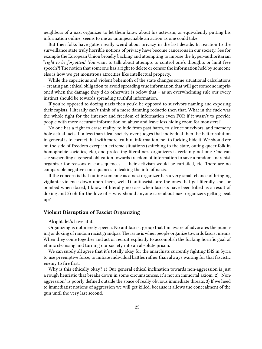neighbors of a nazi organizer to let them know about his activism, or equivalently putting his information online, seems to me as unimpeachable an action as one could take.

But then folks have gotten really weird about privacy in the last decade. In reaction to the surveillance state truly horrible notions of privacy have become cancerous in our society. See for example the European Union broadly backing and attempting to impose the hyper-authoritarian "*right to be forgotten*." You want to talk about attempts to control one's thoughts or limit free speech?! The notion that someone has a right to delete or censor the information held by someone else is how we get monstrous atrocities like intellectual property.

While the capricious and violent behemoth of the state changes some situational calculations – creating an ethical obligation to avoid spreading true information that will get someone imprisoned when the damage they'd do otherwise is below that – as an overwhelming rule our every instinct should be towards spreading truthful information.

If you're opposed to doxing nazis then you'd be opposed to survivors naming and exposing their rapists. I literally can't think of a more damning reductio then that. What in the fuck was the whole fight for the internet and freedom of information even FOR if it wasn't to provide people with more accurate information on abuse and leave less hiding room for monsters?

No one has a right to erase reality, to hide from past harm, to silence survivors, and memory hole actual facts. If a less than ideal society over-judges that individual then the better solution in general is to correct that with more truthful information, not to fucking hide it. We should err on the side of freedom except in extreme situations (snitching to the state, outing queer folk in homophobic societies, etc), and protecting literal nazi organizers is certainly not one. One can see suspending a general obligation towards freedom of information to save a random anarchist organizer for reasons of consequences — their activism would be curtailed, etc. There are no comparable negative consequences to leaking the info of nazis.

If the concern is that outing someone as a nazi organizer has a very small chance of bringing vigilante violence down upon them, well 1) antifascists are the ones that get literally shot or bombed when doxed, I know of literally no case when fascists have been killed as a result of doxing and 2) oh for the love of – why should anyone care about nazi organizers getting beat up?

#### <span id="page-24-0"></span>**Violent Disruption of Fascist Organizing**

Alright, let's have at it.

Organizing is not merely speech. No antifascist group that I'm aware of advocates the punching or doxing of random racist grandpas.The issue is when people organize towards fascist means. When they come together and act or recruit explicitly to accomplish the fucking horrific goal of ethnic cleansing and turning our society into an absolute prison.

We can surely all agree that it's totally okay for the anarchists currently fighting ISIS in Syria to use preemptive force, to initiate individual battles rather than always waiting for that fascistic enemy to fire first.

Why is this ethically okay? 1) Our general ethical inclination towards non-aggression is just a rough heuristic that breaks down in some circumstances, it's not an immortal axiom. 2) "Nonaggression" is poorly defined outside the space of really obvious immediate threats. 3) If we heed to immediatist notions of aggression we will get killed, because it allows the concealment of the gun until the very last second.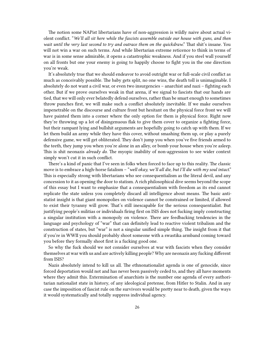The notion some NAPist libertarians have of non-aggression is wildly naive about actual violent conflict. "*We'll all sit here while the fascists assemble outside our house with guns, and then wait until the very last second to try and outrace them on the quickdraw*." That shit's insane. You will not win a war on such terms. And while libertarian extreme reticence to think in terms of war is in some sense admirable, it opens a catastrophic weakness. And if you steel wall yourself on all fronts but one your enemy is going to happily choose to fight you in the one direction you're weak.

It's absolutely true that we should endeavor to avoid outright war or full-scale civil conflict as much as conceivably possible. The baby gets split, no one wins, the death toll is unimaginable. I absolutely do not want a civil war, or even two insurgencies – anarchist and nazi – fighting each other. But if we prove ourselves weak in that arena, if we signal to fascists that our hands are tied, that we will only ever belatedly defend ourselves, rather than be smart enough to sometimes throw punches first, we will make such a conflict absolutely inevitable. If we make ourselves impenetrable on the discourse and culture front but hesitant on the physical force front we will have painted them into a corner where the only option for them is physical force. Right now they're throwing up a lot of disingenuous flak to give them cover to organize a fighting force, but their rampant lying and bullshit arguments are hopefully going to catch up with them. If we let them build an army while they have this cover, without smashing them up, or play a purely defensive game, we will get obliterated. They don't jump you when you've five friends armed to the teeth, they jump you when you're alone in an alley, or bomb your house when you're asleep. This is shit neonazis *already do.* The myopic inability of non-aggression to see wider context simply won't cut it in such conflict.

There's a kind of panic that I've seen in folks when forced to face up to this reality. The classic move is to embrace a high-horse fatalism – "*well okay, we'll all die, but I'll die with my soul intact*." This is especially strong with libertarians who see consequentialism as the literal devil, and any concession to it as opening the door to statism. A rich philosophical dive seems beyond the scope of this essay but I want to emphasize that a consequentialism with freedom as its end cannot replicate the state unless you completely discard all intelligence about means. The basic antistatist insight is that giant monopolies on violence cannot be constrained or limited, if allowed to exist their tyranny will grow. That's still inescapable for the serious consequentialist. But justifying people's militias or individuals firing first on ISIS does not fucking imply constructing a singular institution with a monopoly on violence. There are feedbacking tendencies in the language and psychology of "war" that can definitely lead to reactive violent tribalism and the construction of states, but "war" is not a singular unified simple thing. The insight from it that if you're in WWII you should probably shoot someone with a swastika armband coming toward you before they formally shoot first is a fucking good one.

So why the fuck should we not consider ourselves at war with fascists when they consider themselves at war with us and are actively killing people? Why are neonazis any fucking different from ISIS?

Nazis absolutely intend to kill us all. The ethnonationalist agenda is one of genocide, since forced deportation would not and has never been passively ceded to, and they all have moments where they admit this. Extermination of anarchists is the number one agenda of every authoritarian nationalist state in history, of any ideological pretense, from Hitler to Stalin. And in any case the imposition of fascist rule on the survivors would be pretty near to death, given the ways it would systematically and totally suppress individual agency.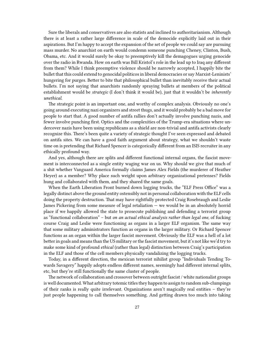Sure the liberals and conservatives are also statists and inclined to authoritarianism. Although there is at least a rather large difference in scale of the democide explicitly laid out in their aspirations. But I'm happy to accept the expansion of the set of people we could say are pursuing mass murder. No anarchist on earth would condemn someone punching Cheney, Clinton, Bush, Obama, etc. And it would surely be okay to preemptively kill the demagogues urging genocide over the radio in Rwanda. How on earth was Bill Kristol's role in the lead up to Iraq any different from them? While I think preemptive violence should be narrowly accepted, I happily bite the bullet that this could extend to genocidal politicos in liberal democracies or say Marxist-Leninists' hungering for purges. Better to bite that philosophical bullet than inevitably receive their actual bullets. I'm not saying that anarchists randomly spraying bullets at members of the political establishment would be *strategic* (I don't think it would be), just that it wouldn't be *inherently unethical*.

The strategic point is an important one, and worthy of complex analysis. Obviously no one's going around executing nazi organizers and street thugs, and it would probably be a bad move for people to start that. A good number of antifa rallies don't actually involve punching nazis, and fewer involve punching first. Optics and the complexities of the Trump-era situations where undercover nazis have been using republicans as a shield are non-trivial and antifa activists clearly recognize this. There's been quite a variety of strategic thought I've seen expressed and debated on antifa sites. We can have a good faith argument about strategy, what we shouldn't waste time on is pretending that Richard Spencer is categorically different from an ISIS recruiter in any ethically profound way.

And yes, although there are splits and different functional internal organs, the fascist movement is interconnected as a single entity waging war on us. Why should we give that much of a shit whether Vanguard America formally claims James Alex Fields (the murderer of Heather Heyer) as a member? Why place such weight upon arbitrary organizational pretenses? Fields hung and collaborated with them, and they shared the same goals.

When the Earth Liberation Front burned down logging trucks, the "ELF Press Office" was a legally distinct above the ground entity ostensibly not in personal collaboration with the ELF cells doing the property destruction. That may have rightfully protected Craig Rosebraugh and Leslie James Pickering from some measure of legal retaliation — we would be in an absolutely horrid place if we happily allowed the state to prosecute publishing and defending a terrorist group as "functional collaboration" – but *on an actual ethical analysis rather than legal one*, of fucking course Craig and Leslie were functioning as organs in a larger ELF organism. The same way that some military administrators function as organs in the larger military. Or Richard Spencer functions as an organ within the larger fascist movement. Obviously the ELF was a hell of a lot better in goals and means than the US military or the fascist movement, but it's not like we'd try to make some kind of profound *ethical* (rather than legal) distinction between Craig's participation in the ELF and those of the cell members physically vandalizing the logging trucks.

Today, in a different direction, the mexican terrorist nihilist group "Individuals Tending Towards Savagery" happily adopts endless different names, seemingly had different internal splits, etc, but they're still functionally the same cluster of people.

The network of collaboration and crossover between outright fascist / white nationalist groups is well documented. What arbitrary totemic titles they happen to assign to random sub-clumpings of their ranks is really quite irrelevant. Organizations aren't magically real entities – they're just people happening to call themselves something. And getting drawn too much into taking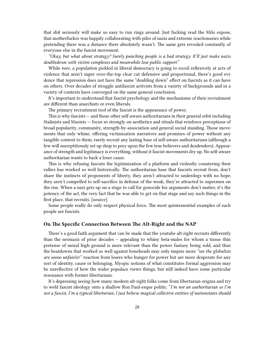that shit seriously will make us easy to run rings around. Just fucking read the Milo expose, that motherfucker was happily collaborating with piles of nazis and extreme reactionaries while pretending there was a distance there absolutely wasn't. The same gets revealed constantly of everyone else in the fascist movement.

*"Okay, but what about strategy? Surely punching people is a bad strategy. It'll just make nazis doubledown with victim complexes and meanwhile lose public support.*"

While sure, a population pickled in liberal democracy is going to recoil reflexively at acts of violence that aren't super over-the-top clear cut defensive and proportional, there's good evidence that repression does not have the same "doubling down" effect on fascists as it can have on others. Over decades of struggle antifascist activists from a variety of backgrounds and in a variety of contexts have converged on the same general conclusion.

It's important to understand that fascist psychology and the mechanisms of their recruitment are different than anarchists or even liberals.

The primary recruitment tool of the fascist is the appearance of power.

This is why fascists — and those other self-aware authoritarians in their general orbit including Stalinists and Maoists — focus so strongly on aesthetics and rituals that reinforce perceptions of broad popularity, community, strength-by-association and general social standing. Those movements that only whine, offering victimization narratives and promises of power without any tangible content to them, rarely recruit any lasting base of self-aware authoritarians (although a few will surreptitiously set up shop to prey upon the few true believers and deadenders). Appearance of strength and legitimacy is everything, without it fascist movements dry up. No self-aware authoritarian wants to back a loser cause.

This is why refusing fascists the legitimization of a platform and violently countering their rallies has worked so well historically. The authoritarian base that fascists recruit from, don't share the instincts of proponents of liberty, they aren't attracted to underdogs with no hope, they aren't compelled to self-sacrifice in defense of the weak, they're attracted to supermen on the rise. When a nazi gets up on a stage to call for genocide his arguments don't matter, it's the potency of the act, the very fact that he was able to get on that stage and say such things in the first place, that recruits. [source]

Some people really do only respect physical force. The most quintessential examples of such people are fascists.

#### <span id="page-27-0"></span>**On The Specific Connection Between The Alt-Right and the NAP**

There's a good faith argument that can be made that the youtube alt-right recruits differently than the neonazis of prior decades – appealing to whiny beta-males for whom a tissue thin pretense of moral high ground is more relevant than the power fantasy being sold, and thus the beatdowns that worked so well against boneheads may only inspire more *"see the globalists are soooo unfaiiiiir"* reaction from losers who hunger for power but are more desperate for any sort of identity, cause or belonging. Myopic notions of what constitutes formal aggression may be unreflective of how the wider populace views things, but still indeed have some particular resonance with former libertarians.

It's depressing seeing how many modern alt-right folks come from libertarian origins and try to weld fascist ideology onto a shallow Ron Paul-esque politic. "*I'm not an authoritarian so I'm not a fascist, I'm a typical libertarian, I just believe magical collective entities of nationstates should*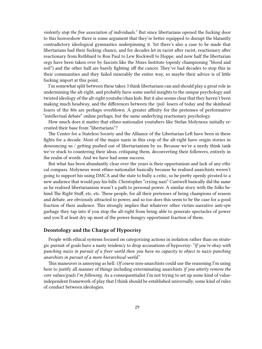*violently stop the free association of individuals.*" But since libertarians opened the fucking door to this horrorshow there is some argument that they're better equipped to disrupt the blatantly contradictory ideological gymnastics underpinning it. Yet there's also a case to be made that libertarians had their fucking chance, and for decades let in racist after racist, reactionary after reactionary from Rothbard to Ron Paul to Lew Rockwell to Hoppe, and now half the libertarian orgs have been taken over by fascists like the Mises Institute (openly championing "blood and soil") and the other half are barely fighting off the cancer. They've had decades to stop this in their communities and they failed miserably the entire way, so maybe their advice is of little fucking import at this point.

I'm somewhat split between these takes. I think libertarians can and should play a great role in undermining the alt-right, and probably have some useful insights to the unique psychology and twisted ideology of the alt-right youtube/chan kids. But it also seems clear that they haven't been making much headway, and the differences between the /pol/ losers of today and the skinhead losers of the 80s are perhaps overblown. A greater affinity for the pretenses of performative "intellectual debate" online perhaps, but the same underlying reactionary psychology.

How much does it matter that ethno-nationalist youtubers like Stefan Molyneux initially recruited their base from "libertarians"?

The Center for a Stateless Society and the Alliance of the Libertarian Left have been in these fights for a decade. Most of the major nazis in this crop of the alt-right have origin stories in denouncing us / getting pushed out of libertarianism by us. Because we're a nerdy think tank we've stuck to countering their ideas, critiquing them, deconverting their followers, entirely in the realm of words. And we have had some success.

But what has been abundantly clear over the years is their opportunism and lack of any ethical compass. Molyneux went ethno-nationalist basically because he realized anarchists weren't going to support his using DMCA and the state to bully a critic, so he pretty openly pivoted to a new audience that would pay his bills. Christopher "crying nazi" Cantwell basically did the same as he realized libertarianism wasn't a path to personal power. A similar story with the folks behind The Right Stuff, etc, etc. These people, for all their pretenses of being champions of reason and debate, are obviously attracted to power, and so too does this seem to be the case for a good fraction of their audience. This strongly implies that whatever other victim narrative anti-sjw garbage they tap into if you stop the alt-right from being able to generate spectacles of power and you'll at least dry up most of the power-hungry opportunist fraction of them.

### <span id="page-28-0"></span>**Deontology and the Charge of Hypocrisy**

People with ethical systems focused on categorizing actions in isolation rather than on strategic pursuit of goals have a nasty tendency to drop accusations of hypocrisy: "*If you're okay with punching nazis in pursuit of a freer world then you have no capacity to object to nazis punching anarchists in pursuit of a more hierarchical world*."

This maneuver is annoying as hell. *Of course* non-anarchists could use the reasoning I'm using here to justify all manner of things including exterminating anarchists *if you utterly remove the core values/goals I'm following*. As a consequentialist I'm not trying to set up some kind of valueindependent framework of play that I think should be established universally, some kind of rules of conduct between ideologies.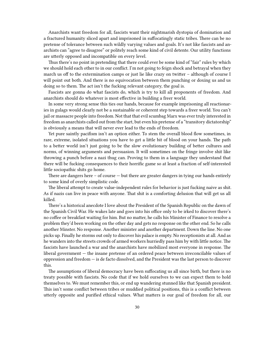Anarchists want freedom for all, fascists want their nightmarish dystopia of domination and a fractured humanity sliced apart and imprisoned in suffocatingly static tribes. There can be no pretense of tolerance between such wildly varying values and goals. It's not like fascists and anarchists can "agree to disagree" or politely reach some kind of civil detente. Our utility functions are utterly opposed and incompatible on every level.

Thus there's no point in pretending that there could ever be some kind of "fair" rules by which we should hold each other to in our conflict. I'm not going to feign shock and betrayal when they march us off to the extermination camps or just lie like crazy on twitter – although of course I will point out both. And there is no equivocation between them punching or doxing us and us doing so to them. The act isn't the fucking relevant category, the goal is.

Fascists are gonna do what fascists do, which is try to kill all proponents of freedom. And anarchists should do whatever is most effective in building a freer world.

In some very strong sense this ties our hands, because for example imprisoning all reactionaries in gulags would clearly not be a sustainable or coherent step towards a freer world. You can't jail or massacre people into freedom. Not that that evil scumbag Marx was ever truly interested in freedom as anarchists called out from the start, but even his pretense of a "transitory dictatorship" is obviously a means that will never ever lead to the ends of freedom.

Yet pure saintly pacifism isn't an option either. To stem the overall blood flow sometimes, in rare, extreme, isolated situations you have to get a little bit of blood on your hands. The path to a better world isn't just going to be the slow evolutionary building of better cultures and norms, of winning arguments and persuasion. It will sometimes on the fringe involve shit like throwing a punch before a nazi thug can. Proving to them in a language they understand that there will be fucking consequences to their horrific game so at least a fraction of self-interested little sociopathic shits go home.

There are dangers here – of course — but there are greater dangers in tying our hands entirely to some kind of overly simplistic code.

The liberal attempt to create value-independent rules for behavior is just fucking naive as shit. As if nazis can live in peace with anyone. That shit is a comforting delusion that will get us all killed.

There's a historical anecdote I love about the President of the Spanish Republic on the dawn of the Spanish Civil War. He wakes late and goes into his office only to be irked to discover there's no coffee or breakfast waiting for him. But no matter, he calls his Minister of Finance to resolve a problem they'd been working on the other day and gets no response on the other end. So he calls another Minster. No response. Another minister and another department. Down the line. No one picks up. Finally he storms out only to discover his palace is empty. No receptionists at all. And as he wanders into the streets crowds of armed workers hurriedly pass him by with little notice. The fascists have launched a war and the anarchists have mobilized most everyone in response. The liberal government — the insane pretense of an ordered peace between irreconcilable values of oppression and freedom — is de facto dissolved, and the President was the last person to discover this.

The assumptions of liberal democracy have been suffocating us all since birth, but there is no treaty possible with fascists. No code that if we hold ourselves to we can expect them to hold themselves to. We must remember this, or end up wandering stunned like that Spanish president. This isn't some conflict between tribes or muddied political positions, this is a conflict between utterly opposite and purified ethical values. What matters is our goal of freedom for all, our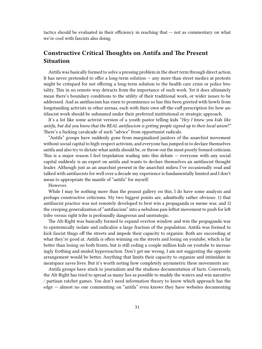tactics should be evaluated in their efficiency in reaching that — not as commentary on what we're cool with fascists also doing.

# <span id="page-30-0"></span>**Constructive Critical Thoughts on Antifa and The Present Situation**

Antifa was basically formed to solve a pressing problem in the short term through direct action. It has never pretended to offer a long-term solution — any more than street medics at protests might be critiqued for not offering a long-term solution to the health care crisis or police brutality. This in no remote way detracts from the importance of such work. Yet it does ultimately mean there's boundary conditions to the utility of their traditional work, or wider issues to be addressed. And as antifascism has risen to prominence so has this been greeted with howls from longstanding activists in other arenas, each with their own off-the-cuff prescription for how antifascist work should be subsumed under their preferred institutional or strategic approach.

It's a lot like some activist version of a youth pastor telling kids "*Hey I know you kids like antifa, but did you know that the REAL antifascism is getting people signed up to their local union*?" There's a fucking cavalcade of such "advice" from opportunist radicals.

"Antifa" groups have suddenly gone from marginalized janitors of the anarchist movement without social capital to high-respect activism, and everyone has jumped in to declare themselves antifa and also try to dictate what antifa should be, or throw out the most poorly formed criticism. This is a major reason I feel trepidation wading into this debate — everyone with any social capital suddenly is an expert on antifa and wants to declare themselves an antifascist thought leader. Although just as an anarchist present in the anarchist milieu I've occasionally read and talked with antifascists for well over a decade my experience is fundamentally limited and I don't mean to appropriate the mantle of "antifa" for myself.

However.

While I may be nothing more than the peanut gallery on this, I do have some analysis and perhaps constructive criticisms. My two biggest points are, admittedly rather obvious: 1) that antifascist practice was not remotely developed to best win a propaganda or meme war, and 2) the creeping generalization of "antifascism" into a nebulous pan-leftist movement to push for left tribe versus right tribe is profoundly dangerous and unstrategic.

The Alt-Right was basically formed to expand overton window and win the propaganda war to epistemically isolate and radicalize a large fraction of the population. Antifa was formed to kick fascist thugs off the streets and impede their capacity to organize. Both are succeeding at what they're good at. Antifa is often winning on the streets and losing on youtube, which is far better than losing on both fronts, but is still ceding a couple million kids on youtube to increasingly frothing and misled hyperreaction. Don't get me wrong, I am not suggesting the opposite arrangement would be better. Anything that limits their capacity to organize and intimidate in meatspace saves lives. But it's worth noting how completely asymmetric these movements are:

Antifa groups have stuck to journalism and the studious documentation of facts. Conversely, the Alt-Right has tried to spread as many lies as possible to muddy the waters and win narrative / partisan ratchet games. You don't need information theory to know which approach has the edge — almost no one commenting on "antifa" even knows they have websites documenting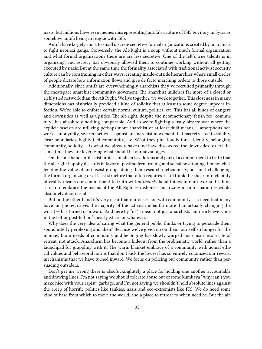nazis, but millions have seen memes misrepresenting antifa's capture of ISIS territory in Syria as somehow antifa being in league with ISIS.

Antifa have largely stuck to small discrete secretive formal organizations created by anarchists to fight neonazi gangs. Conversely, the Alt-Right is a soup without much formal organization and what formal organizations there are are less secretive. One of the left's true talents is in organizing, and secrecy has obviously allowed them to continue working without all getting executed by nazis. But at the same time the formality associated with traditional activist security culture can be constraining in other ways, creating inside-outside hierarchies where small circles of people dictate how information flows and give de facto marching orders to those outside.

Additionally, since antifa are overwhelmingly anarchists they've recruited primarily through the meatspace anarchist community/movement. The anarchist milieu is far more of a closed or richly tied network than the Alt Right. We live together, we work together. This closeness in many dimensions has historically provided a kind of solidity that at least to some degree impedes infection. We're able to enforce certain norms, culture, politics, etc. This has all kinds of dangers and downsides as well as upsides. The alt-right, despite the neoreactionary fetish for "community" has absolutely nothing comparable. And so we're fighting a truly bizarre war where the explicit fascists are utilizing perhaps more anarchist or at least fluid means — amorphous networks, anonymity, swarm tactics — against an anarchist movement that has retreated to solidity, clear boundaries, highly tied community, etc. What they pine loudly for — identity, belonging, community, solidity  $-$  is what we already have (and have discovered the downsides to). At the same time they are leveraging what should be our advantages.

On the one hand antifascist professionalism is valorous and part of a commitment to truth that the alt-right happily discards in favor of postmodern trolling and social positioning. I'm not challenging the value of antifascist groups doing their research meticulously, nor am I challenging the formal organizing or at least structure that often requires. I still think the sheer intractability of reality means our commitment to truth will *ultimately* bend things in our favor and I think a rush to embrace the means of the Alt Right — dishonest polarizing misinformation — would absolutely doom us all.

But on the other hand it's very clear that our obsession with community  $-$  a need that many have long noted drives the majority of the activist milieu far more than actually changing the world — has turned us inward. And here by "us" I mean not just anarchists but nearly everyone in the left or post-left or "social justice" or whatever.

Why does the very idea of caring what the general public thinks or trying to persuade them sound utterly perplexing and alien? Because we've given up on them, our selfish hunger for the monkey brain needs of community and belonging has slowly warped anarchism into a site of retreat, not attack. Anarchism has become a hideout from the problematic world, rather than a launchpad for grappling with it. The warm blanket embrace of a community with actual ethical values and behavioral norms that don't kick the lowest has so entirely colonized our reward mechanisms that we have turned inward. We focus on policing our community rather than persuading outsiders.

Don't get me wrong there is absofuckinglutely a place for holding one another accountable and drawing lines, I'm not saying we should tolerate abuse out of some kumbaya "why can't you make nice with your rapist" garbage, and I'm not saying we shouldn't hold absolute lines against the creep of horrific politics like tankies, nazis and eco-extremists like ITS. We do need some kind of base from which to move the world, and a place to retreat to when need be. But the alt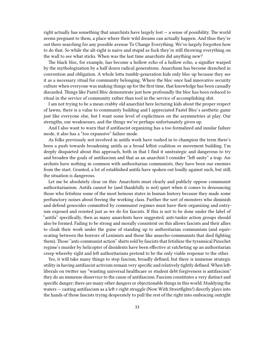right actually has something that anarchists have largely lost — a sense of possibility. The world seems pregnant to them, a place where their wild dreams can actually happen. And thus they're out there searching for any possible avenue To Change Everything. We've largely forgotten how to do that. So while the alt-right is naive and stupid as fuck they're still throwing everything on the wall to see what sticks. When was the last time anarchists did anything new?

The black bloc, for example, has become a hollow echo of a hollow echo, a signifier warped by the mythologization by a half dozen radical generations. Anarchism has become drenched in convention and obligation. A whole lotta tumblr-generation kids only bloc up because they see it as a necessary ritual for community belonging. Where the bloc once had innovative security culture when everyone was making things up for the first time, that knowledge has been casually discarded. Things like Pastel Bloc demonstrate just how profoundly the bloc has been reduced to ritual in the service of community rather than tool in the service of accomplishing shit.

I am not trying to be a mean crabby old anarchist here lecturing kids about the proper respect of lawns, there is a value to community building and I appreciated Pastel Bloc's aesthetic game just like everyone else, but I want some level of explicitness on the asymmetries at play. Our strengths, our weaknesses, and the things we've perhaps unfortunately given up.

And I also want to warn that if antifascist organizing has a too formalized and insular failure mode, it also has a "too expansive" failure mode.

As folks previously not involved in antifa work have rushed in to champion the term there's been a push towards broadening antifa as a broad leftist coalition or movement building. I'm deeply disquieted about this approach, both in that I find it unstrategic and dangerous to try and broaden the goals of antifascism and that as an anarchist I consider "left unity" a trap. Anarchists have nothing in common with authoritarian communists, they have been our enemies from the start. Granted, a lot of established antifa have spoken out loudly against such, but still, the situation is dangerous.

Let me be absolutely clear on this: Anarchists must clearly and publicly oppose communist authoritarianism. Antifa cannot be (and thankfully is not) quiet when it comes to denouncing those who fetishize some of the most heinous states in human history because they made some perfunctory noises about freeing the working class. Further the sort of monsters who diminish and defend genocides committed by communist regimes must have their organizing and entryism exposed and resisted just as we do for fascists. If this is not to be done under the label of "antifa" specifically, then as many anarchists have suggested, anti-tankie action groups should also be formed. Failing to be strong and morally consistent on this allows fascists and their allies to cloak their work under the guise of standing up to authoritarian communism (and equivocating between the horrors of Leninists and those like anarcho-communists that died fighting them). Those "anti-communist action" shirts sold by fascists that fetishize the tyrannical Pinochet regime's murder by helicopter of dissidents have been effective at ratcheting up an authoritarian creep whereby right and left authoritarians pretend to be the only viable response to the other.

Yes, it will take many things to stop fascism, broadly defined, but there is immense strategic utility in having antifascist activism remain very specific and relatively tightly defined. When leftliberals on twitter say "wanting universal healthcare or student debt forgiveness is antifascism" they do an immense disservice to the cause of antifascism. Fascism constitutes a very distinct and specific danger; there are many other dangers or objectionable things in this world. Muddying the waters — casting antifascism as a left v right struggle (Now With Streetfights!) directly plays into the hands of those fascists trying desperately to pull the rest of the right into embracing outright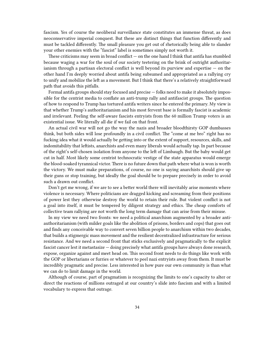fascism. Yes of course the neoliberal surveillance state constitutes an immense threat, as does neoconservative imperial conquest. But these are distinct things that function differently and must be tackled differently. The small pleasure you get out of rhetorically being able to slander your other enemies with the "fascist" label is sometimes simply not worth it.

These criticisms may seem in broad conflict  $-$  on the one hand I think that antifa has stumbled because waging a war for the soul of our society teetering on the brink of outright authoritarianism through a partisan electoral conflict is well beyond its purview and expertise  $-$  on the other hand I'm deeply worried about antifa being subsumed and appropriated as a rallying cry to unify and mobilize the left as a movement. But I think that there's a relatively straightforward path that avoids this pitfalls.

Formal antifa groups should stay focused and precise — folks need to make it absolutely impossible for the centrist media to conflate an anti-trump rally and antifascist groups. The question of how to respond to Trump has tortured antifa writers since he entered the primary. My view is that whether Trump's authoritarianism and his most fervent base is formally fascist is academic and irrelevant. Peeling the self-aware fascists entryists from the 60 million Trump voters is an existential issue. We literally all die if we fail on that front.

An actual civil war will not go the way the nazis and broader bloodthirsty GOP dumbasses think, but both sides will lose profoundly in a civil conflict. The "come at me bro" right has no fucking idea what it would actually be getting into or the extent of support, resources, skills, and indomitability that leftists, anarchists and even many liberals would actually tap. In part because of the right's self-chosen isolation from anyone to the left of Limbaugh. But the baby would get cut in half. Most likely some centrist technocratic vestige of the state apparatus would emerge the blood-soaked tyrannical victor. There is no future down that path where what is won is worth the victory. We must make preparations, of course, no one is saying anarchists should give up their guns or stop training, but ideally the goal should be to prepare precisely in order to avoid such a drawn out conflict.

Don't get me wrong, if we are to see a better world there will inevitably arise moments where violence is necessary. Where politicians are dragged kicking and screaming from their positions of power lest they otherwise destroy the world to retain their rule. But violent conflict is not a goal into itself, it must be tempered by diligent strategy and ethics. The cheap comforts of collective team rallying are not worth the long term damage that can arise from their misuse.

In my view we need two fronts: we need a political anarchism augmented by a broader antiauthoritarianism (with milder goals like the abolition of prisons, borders and cops) that goes out and finds any conceivable way to convert seven billion people to anarchism within two decades, that builds a stigmergic mass movement and the resilient decentralized infrastructure for serious resistance. And we need a second front that sticks exclusively and pragmatically to the explicit fascist cancer lest it metastasize — doing precisely what antifa groups have always done research, expose, organize against and meet head on. This second front needs to do things like work with the GOP or libertarians or furries or whatever to peel nazi entryists away from them. It must be incredibly pragmatic and precise. Less interested in how pure our own community is than what we can do to limit damage in the world.

Although of course, part of pragmatism is recognizing the limits to one's capacity to alter or direct the reactions of millions outraged at our country's slide into fascism and with a limited vocabulary to express that outrage.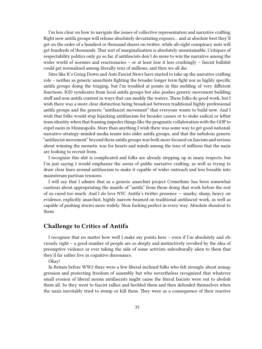I'm less clear on how to navigate the issues of collective representation and narrative crafting. Right now antifa groups will release absolutely devastating exposes… and at absolute best they'll get on the order of a hundred or thousand shares on twitter, while alt-right conspiracy nuts will get hundreds of thousands. That sort of marginalization is absolutely unsustainable. Critiques of respectability politics only go so far, if antifascists don't do more to win the narrative among the wider world of normies and reactionaries – or at least lose it less crushingly – fascist bullshit could get normalized among literally tens of millions, and then we all die.

Sites like It's Going Down and Anti-Fascist News have started to take up the narrative crafting role – neither as generic anarchists fighting the broader longer term fight nor as highly specific antifa groups doing the triaging, but I'm troubled at points in this melding of very different functions. IGD syndicates from local antifa groups but also pushes generic movement building stuff and non-antifa content in ways that can muddy the waters. These folks do good work, but I wish there was a more clear distinction being broadcast between traditional highly professional antifa groups and the generic "antifascist movement" that everyone wants to build now. And I wish that folks would stop hijacking antifascism for broader causes or to stoke radical or leftist team identity when that framing impedes things like the pragmatic collaboration with the GOP to expel nazis in Minneapolis. More than anything I wish there was some way to get good nationalnarrative-strategy-minded media teams into older antifa groups, and that the nebulous generic "antifascist movement" beyond these antifa groups was both more focused on fascism and serious about winning the memetic war for hearts and minds among the tens of millions that the nazis are looking to recruit from.

I recognize this shit is complicated and folks are already stepping up in many respects, but I'm just saying I would emphasize the arena of public narrative crafting, as well as trying to draw clear lines around antifascism to make it capable of wider outreach and less boxable into mainstream partisan tensions.

I will say that I admire that as a generic anarchist project Crimethinc has been somewhat cautious about appropriating the mantle of "antifa" from those doing that work before the rest of us cared too much. And I do love NYC Antifa's twitter presence — snarky, sharp, heavy on evidence, explicitly anarchist, highly narrow-beamed on traditional antifascist work, as well as capable of pushing stories more widely. Near fucking perfect in every way. Absolute shoutout to them.

## <span id="page-34-0"></span>**Challenge to Critics of Antifa**

I recognize that no matter how well I make my points here – even if I'm absolutely and obviously right – a good number of people are so deeply and instinctively revolted by the idea of preemptive violence or ever taking the side of some activists subculturally alien to them that they'd far rather live in cognitive dissonance.

Okay!

In Britain before WW2 there were a few liberal-inclined folks who felt strongly about nonaggression and protecting freedom of assembly but who nevertheless recognized that whatever small erosion of liberal norms antifascists might cause the literal fascists were out to abolish them all. So they went to fascist rallies and heckled them and then defended themselves when the nazis inevitably tried to stomp or kill them. They were as a consequence of their reactive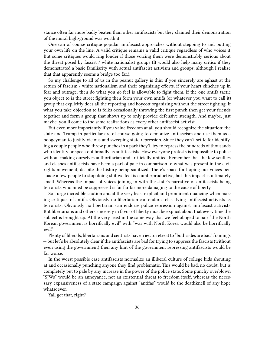stance often far more badly beaten than other antifascists but they claimed their demonstration of the moral high-ground was worth it.

One can of course critique popular antifascist approaches without stepping to and putting your own life on the line. A valid critique remains a valid critique regardless of who voices it. But some critiques would ring louder if those voicing them were demonstrably serious about the threat posed by fascist / white nationalist groups (It would also help many critics if they demonstrated a basic familiarity with actual antifascist activism and groups, although I realize that that apparently seems a bridge too far.).

So my challenge to all of us in the peanut gallery is this: if you sincerely are aghast at the return of fascism / white nationalism and their organizing efforts, if your heart clinches up in fear and outrage, then do what you *do* feel is allowable to fight them. If the one antifa tactic you object to is the street fighting then form your own antifa (or whatever you want to call it) group that explicitly does all the reporting and boycott organizing without the street fighting. If what you take objection to is folks occasionally throwing the first punch then get your friends together and form a group that shows up to only provide defensive strength. And maybe, just maybe, you'll come to the same realizations as every other antifascist activist.

But even more importantly if you value freedom at all you should recognize the situation: the state and Trump in particular are of course going to demonize antifascism and use them as a boogeyman to justify vicious and sweeping state repression. Since they can't settle for identifying a couple people who threw punches in a park they'll try to repress the hundreds of thousands who identify or speak out broadly as anti-fascists. How everyone protests is impossible to police without making ourselves authoritarian and artificially unified. Remember that the few scuffles and clashes antifascists have been a part of pale in comparison to what was present in the civil rights movement, despite the history being sanitized. There's space for hoping our voices persuade a few people to stop doing shit we feel is counterproductive, but this impact is ultimately small. Whereas the impact of voices joining in with the state's narrative of antifascists being terrorists who must be suppressed is far far far more damaging to the cause of liberty.

So I urge incredible caution and at the very least explicit and prominent nuancing when making critiques of antifa. Obviously no libertarian can endorse classifying antifascist activists as terrorists. Obviously no libertarian can endorse police repression against antifascist activists. But libertarians and others sincerely in favor of liberty must be explicit about that every time the subject is brought up. At the very least in the same way that we feel obliged to pair "the North Korean government is horrifically evil" with "war with North Korea would also be horrifically evil."

Plenty of liberals, libertarians and centrists have tried to retreat to "both sides are bad" framings — but let's be absolutely clear if the antifascists are bad for trying to suppress the fascists (without even using the government) then any hint of the government repressing antifascists would be far worse.

In the worst possible case antifascists normalize an illiberal culture of college kids shouting at and occasionally punching anyone they find problematic. This would be bad, no doubt, but is completely put to pale by any increase in the power of the police state. Some punchy overblown "SJWs" would be an annoyance, not an existential threat to freedom itself, whereas the necessary expansiveness of a state campaign against "antifas" would be the deathknell of any hope whatsoever.

Yall get that, right?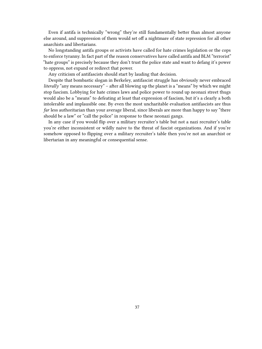Even if antifa is technically "wrong" they're still fundamentally better than almost anyone else around, and suppression of them would set off a nightmare of state repression for all other anarchists and libertarians.

No longstanding antifa groups or activists have called for hate crimes legislation or the cops to enforce tyranny. In fact part of the reason conservatives have called antifa and BLM "terrorist" "hate groups" is precisely because they don't trust the police state and want to defang it's power to oppress, not expand or redirect that power.

Any criticism of antifascists should start by lauding that decision.

Despite that bombastic slogan in Berkeley, antifascist struggle has obviously never embraced *literally* "any means necessary" – after all blowing up the planet is a "means" by which we might stop fascism. Lobbying for hate crimes laws and police power to round up neonazi street thugs would also be a "means" to defeating at least that expression of fascism, but it's a clearly a both intolerable and implausible one. By even the most uncharitable evaluation antifascists are thus *far* less authoritarian than your average liberal, since liberals are more than happy to say "there should be a law" or "call the police" in response to these neonazi gangs.

In any case if you would flip over a military recruiter's table but not a nazi recruiter's table you're either inconsistent or wildly naive to the threat of fascist organizations. And if you're somehow opposed to flipping over a military recruiter's table then you're not an anarchist or libertarian in any meaningful or consequential sense.